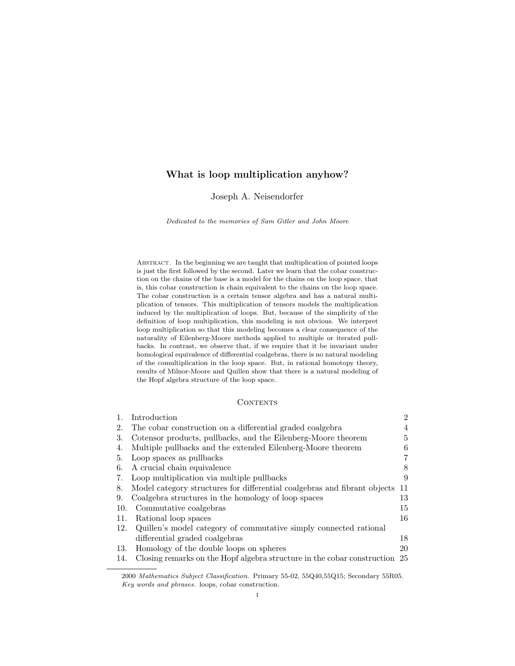# What is loop multiplication anyhow?

Joseph A. Neisendorfer

Dedicated to the memories of Sam Gitler and John Moore

Abstract. In the beginning we are taught that multiplication of pointed loops is just the first followed by the second. Later we learn that the cobar construction on the chains of the base is a model for the chains on the loop space, that is, this cobar construction is chain equivalent to the chains on the loop space. The cobar construction is a certain tensor algebra and has a natural multiplication of tensors. This multiplication of tensors models the multiplication induced by the multiplication of loops. But, because of the simplicity of the definition of loop multiplication, this modeling is not obvious. We interpret loop multiplication so that this modeling becomes a clear consequence of the naturality of Eilenberg-Moore methods applied to multiple or iterated pullbacks. In contrast, we observe that, if we require that it be invariant under homological equivalence of differential coalgebras, there is no natural modeling of the comultiplication in the loop space. But, in rational homotopy theory, results of Milnor-Moore and Quillen show that there is a natural modeling of the Hopf algebra structure of the loop space.

## CONTENTS

| $\mathbf{1}$ . | Introduction                                                               | $\overline{2}$ |
|----------------|----------------------------------------------------------------------------|----------------|
| 2.             | The cobar construction on a differential graded coalgebra                  | 4              |
| 3.             | Cotensor products, pullbacks, and the Eilenberg-Moore theorem              | 5              |
| 4.             | Multiple pullbacks and the extended Eilenberg-Moore theorem                | 6              |
| 5.             | Loop spaces as pullbacks                                                   | 7              |
| 6.             | A crucial chain equivalence                                                | 8              |
| 7.             | Loop multiplication via multiple pullbacks                                 | 9              |
| 8.             | Model category structures for differential coalgebras and fibrant objects  | 11             |
| 9.             | Coalgebra structures in the homology of loop spaces                        | 13             |
| 10.            | Commutative coalgebras                                                     | 15             |
| 11.            | Rational loop spaces                                                       | 16             |
| 12.            | Quillen's model category of commutative simply connected rational          |                |
|                | differential graded coalgebras                                             | 18             |
| 13.            | Homology of the double loops on spheres                                    | 20             |
| 14.            | Closing remarks on the Hopf algebra structure in the cobar construction 25 |                |

<sup>2000</sup> Mathematics Subject Classification. Primary 55-02, 55Q40,55Q15; Secondary 55R05. Key words and phrases. loops, cobar construction.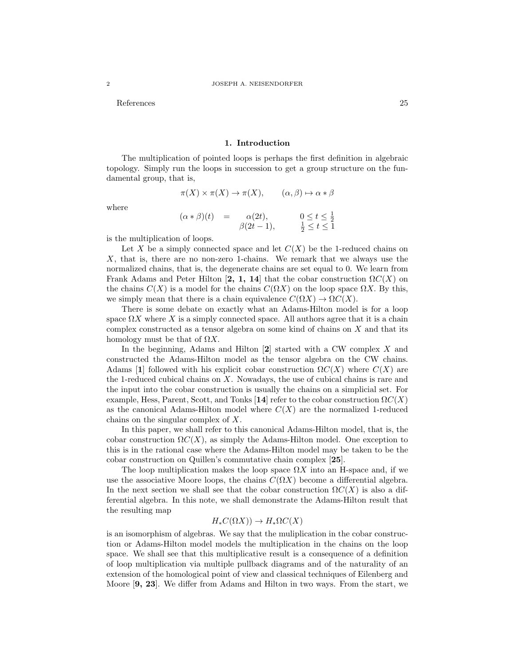References 25

# 1. Introduction

The multiplication of pointed loops is perhaps the first definition in algebraic topology. Simply run the loops in succession to get a group structure on the fundamental group, that is,

 $\pi(X) \times \pi(X) \to \pi(X), \qquad (\alpha, \beta) \mapsto \alpha * \beta$ 

where

$$
(\alpha * \beta)(t) = \alpha(2t), \qquad 0 \le t \le \frac{1}{2}
$$
  

$$
\beta(2t - 1), \qquad \frac{1}{2} \le t \le 1
$$

is the multiplication of loops.

Let X be a simply connected space and let  $C(X)$  be the 1-reduced chains on X, that is, there are no non-zero 1-chains. We remark that we always use the normalized chains, that is, the degenerate chains are set equal to 0. We learn from Frank Adams and Peter Hilton [2, 1, 14] that the cobar construction  $\Omega C(X)$  on the chains  $C(X)$  is a model for the chains  $C(\Omega X)$  on the loop space  $\Omega X$ . By this, we simply mean that there is a chain equivalence  $C(\Omega X) \to \Omega C(X)$ .

There is some debate on exactly what an Adams-Hilton model is for a loop space  $\Omega X$  where X is a simply connected space. All authors agree that it is a chain complex constructed as a tensor algebra on some kind of chains on  $X$  and that its homology must be that of  $\Omega X$ .

In the beginning, Adams and Hilton  $[2]$  started with a CW complex X and constructed the Adams-Hilton model as the tensor algebra on the CW chains. Adams [1] followed with his explicit cobar construction  $\Omega C(X)$  where  $C(X)$  are the 1-reduced cubical chains on X. Nowadays, the use of cubical chains is rare and the input into the cobar construction is usually the chains on a simplicial set. For example, Hess, Parent, Scott, and Tonks [14] refer to the cobar construction  $\Omega C(X)$ as the canonical Adams-Hilton model where  $C(X)$  are the normalized 1-reduced chains on the singular complex of X.

In this paper, we shall refer to this canonical Adams-Hilton model, that is, the cobar construction  $\Omega C(X)$ , as simply the Adams-Hilton model. One exception to this is in the rational case where the Adams-Hilton model may be taken to be the cobar construction on Quillen's commutative chain complex [25].

The loop multiplication makes the loop space  $\Omega X$  into an H-space and, if we use the associative Moore loops, the chains  $C(\Omega X)$  become a differential algebra. In the next section we shall see that the cobar construction  $\Omega C(X)$  is also a differential algebra. In this note, we shall demonstrate the Adams-Hilton result that the resulting map

# $H_*C(\Omega X) \to H_*\Omega C(X)$

is an isomorphism of algebras. We say that the muliplication in the cobar construction or Adams-Hilton model models the multiplication in the chains on the loop space. We shall see that this multiplicative result is a consequence of a definition of loop multiplication via multiple pullback diagrams and of the naturality of an extension of the homological point of view and classical techniques of Eilenberg and Moore [9, 23]. We differ from Adams and Hilton in two ways. From the start, we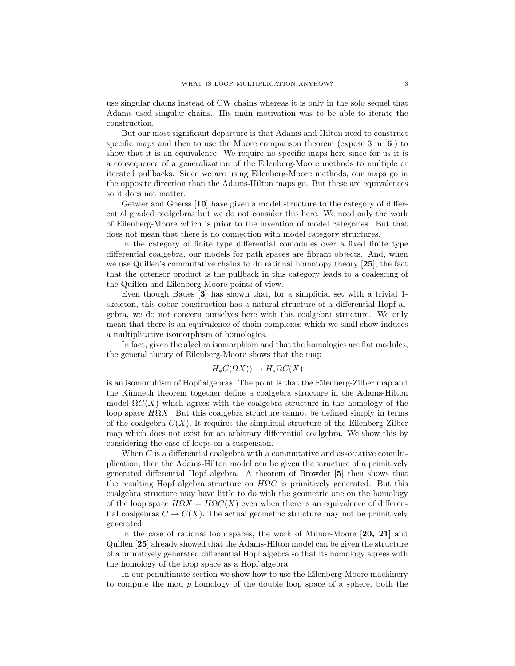use singular chains instead of CW chains whereas it is only in the solo sequel that Adams used singular chains. His main motivation was to be able to iterate the construction.

But our most significant departure is that Adams and Hilton need to construct specific maps and then to use the Moore comparison theorem (expose  $3$  in  $[6]$ ) to show that it is an equivalence. We require no specific maps here since for us it is a consequence of a generalization of the Eilenberg-Moore methods to multiple or iterated pullbacks. Since we are using Eilenberg-Moore methods, our maps go in the opposite direction than the Adams-Hilton maps go. But these are equivalences so it does not matter.

Getzler and Goerss [10] have given a model structure to the category of differential graded coalgebras but we do not consider this here. We need only the work of Eilenberg-Moore which is prior to the invention of model categories. But that does not mean that there is no connection with model category structures.

In the category of finite type differential comodules over a fixed finite type differential coalgebra, our models for path spaces are fibrant objects. And, when we use Quillen's commutative chains to do rational homotopy theory [25], the fact that the cotensor product is the pullback in this category leads to a coalescing of the Quillen and Eilenberg-Moore points of view.

Even though Baues [3] has shown that, for a simplicial set with a trivial 1 skeleton, this cobar construction has a natural structure of a differential Hopf algebra, we do not concern ourselves here with this coalgebra structure. We only mean that there is an equivalence of chain complexes which we shall show induces a multiplicative isomorphism of homologies.

In fact, given the algebra isomorphism and that the homologies are flat modules, the general theory of Eilenberg-Moore shows that the map

# $H_*C(\Omega X) \to H_*\Omega C(X)$

is an isomorphism of Hopf algebras. The point is that the Eilenberg-Zilber map and the Künneth theorem together define a coalgebra structure in the Adams-Hilton model  $\Omega C(X)$  which agrees with the coalgebra structure in the homology of the loop space  $H\Omega X$ . But this coalgebra structure cannot be defined simply in terms of the coalgebra  $C(X)$ . It requires the simplicial structure of the Eilenberg Zilber map which does not exist for an arbitrary differential coalgebra. We show this by considering the case of loops on a suspension.

When  $C$  is a differential coalgebra with a commutative and associative comultiplication, then the Adams-Hilton model can be given the structure of a primitively generated differential Hopf algebra. A theorem of Browder [5] then shows that the resulting Hopf algebra structure on  $H\Omega C$  is primitively generated. But this coalgebra structure may have little to do with the geometric one on the homology of the loop space  $H\Omega X = H\Omega C(X)$  even when there is an equivalence of differential coalgebras  $C \to C(X)$ . The actual geometric structure may not be primitively generated.

In the case of rational loop spaces, the work of Milnor-Moore [20, 21] and Quillen [25] already showed that the Adams-Hilton model can be given the structure of a primitively generated differential Hopf algebra so that its homology agrees with the homology of the loop space as a Hopf algebra.

In our penultimate section we show how to use the Eilenberg-Moore machinery to compute the mod  $p$  homology of the double loop space of a sphere, both the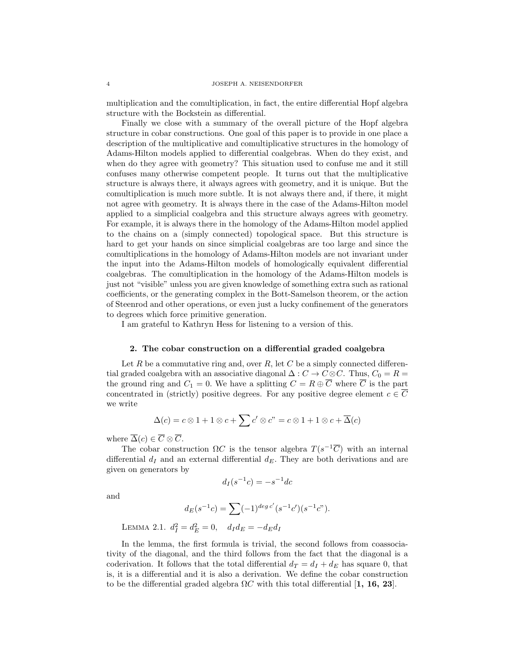multiplication and the comultiplication, in fact, the entire differential Hopf algebra structure with the Bockstein as differential.

Finally we close with a summary of the overall picture of the Hopf algebra structure in cobar constructions. One goal of this paper is to provide in one place a description of the multiplicative and comultiplicative structures in the homology of Adams-Hilton models applied to differential coalgebras. When do they exist, and when do they agree with geometry? This situation used to confuse me and it still confuses many otherwise competent people. It turns out that the multiplicative structure is always there, it always agrees with geometry, and it is unique. But the comultiplication is much more subtle. It is not always there and, if there, it might not agree with geometry. It is always there in the case of the Adams-Hilton model applied to a simplicial coalgebra and this structure always agrees with geometry. For example, it is always there in the homology of the Adams-Hilton model applied to the chains on a (simply connected) topological space. But this structure is hard to get your hands on since simplicial coalgebras are too large and since the comultiplications in the homology of Adams-Hilton models are not invariant under the input into the Adams-Hilton models of homologically equivalent differential coalgebras. The comultiplication in the homology of the Adams-Hilton models is just not "visible" unless you are given knowledge of something extra such as rational coefficients, or the generating complex in the Bott-Samelson theorem, or the action of Steenrod and other operations, or even just a lucky confinement of the generators to degrees which force primitive generation.

I am grateful to Kathryn Hess for listening to a version of this.

### 2. The cobar construction on a differential graded coalgebra

Let R be a commutative ring and, over R, let C be a simply connected differential graded coalgebra with an associative diagonal  $\Delta: C \to C \otimes C$ . Thus,  $C_0 = R =$ the ground ring and  $C_1 = 0$ . We have a splitting  $C = R \oplus \overline{C}$  where  $\overline{C}$  is the part concentrated in (strictly) positive degrees. For any positive degree element  $c \in \overline{C}$ we write

$$
\Delta(c) = c \otimes 1 + 1 \otimes c + \sum c' \otimes c'' = c \otimes 1 + 1 \otimes c + \overline{\Delta}(c)
$$

where  $\overline{\Delta}(c) \in \overline{C} \otimes \overline{C}$ .

The cobar construction  $\Omega C$  is the tensor algebra  $T(s^{-1}\overline{C})$  with an internal differential  $d_I$  and an external differential  $d_E$ . They are both derivations and are given on generators by

$$
d_I(s^{-1}c) = -s^{-1}dc
$$

and

$$
d_E(s^{-1}c) = \sum (-1)^{deg\,c'} (s^{-1}c')(s^{-1}c").
$$

LEMMA 2.1.  $d_I^2 = d_E^2 = 0$ ,  $d_I d_E = -d_E d_I$ 

In the lemma, the first formula is trivial, the second follows from coassociativity of the diagonal, and the third follows from the fact that the diagonal is a coderivation. It follows that the total differential  $d_T = d_I + d_E$  has square 0, that is, it is a differential and it is also a derivation. We define the cobar construction to be the differential graded algebra  $\Omega C$  with this total differential [1, 16, 23].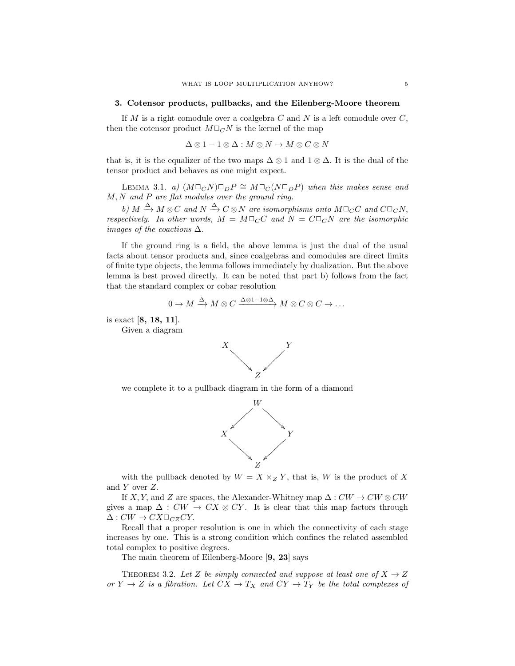#### 3. Cotensor products, pullbacks, and the Eilenberg-Moore theorem

If  $M$  is a right comodule over a coalgebra  $C$  and  $N$  is a left comodule over  $C$ , then the cotensor product  $M\Box_C N$  is the kernel of the map

$$
\Delta \otimes 1 - 1 \otimes \Delta : M \otimes N \to M \otimes C \otimes N
$$

that is, it is the equalizer of the two maps  $\Delta \otimes 1$  and  $1 \otimes \Delta$ . It is the dual of the tensor product and behaves as one might expect.

LEMMA 3.1. a)  $(M\Box_C N)\Box_D P \cong M\Box_C (N\Box_D P)$  when this makes sense and M, N and P are flat modules over the ground ring.

b)  $M \xrightarrow{\Delta} M \otimes C$  and  $N \xrightarrow{\Delta} C \otimes N$  are isomorphisms onto  $M \Box_C C$  and  $C \Box_C N$ , respectively. In other words,  $M = M\Box_C C$  and  $N = C\Box_C N$  are the isomorphic images of the coactions  $\Delta$ .

If the ground ring is a field, the above lemma is just the dual of the usual facts about tensor products and, since coalgebras and comodules are direct limits of finite type objects, the lemma follows immediately by dualization. But the above lemma is best proved directly. It can be noted that part b) follows from the fact that the standard complex or cobar resolution

$$
0 \to M \xrightarrow{\Delta} M \otimes C \xrightarrow{\Delta \otimes 1-1 \otimes \Delta} M \otimes C \otimes C \to \dots
$$

is exact [8, 18, 11].

Given a diagram



we complete it to a pullback diagram in the form of a diamond



with the pullback denoted by  $W = X \times_Z Y$ , that is, W is the product of X and Y over Z.

If X, Y, and Z are spaces, the Alexander-Whitney map  $\Delta: CW \rightarrow CW \otimes CW$ gives a map  $\Delta: CW \rightarrow CX \otimes CY$ . It is clear that this map factors through  $\Delta: CW \rightarrow CX\square_{CZ} CY.$ 

Recall that a proper resolution is one in which the connectivity of each stage increases by one. This is a strong condition which confines the related assembled total complex to positive degrees.

The main theorem of Eilenberg-Moore [9, 23] says

THEOREM 3.2. Let Z be simply connected and suppose at least one of  $X \rightarrow Z$ or  $Y \to Z$  is a fibration. Let  $CX \to T_X$  and  $CY \to T_Y$  be the total complexes of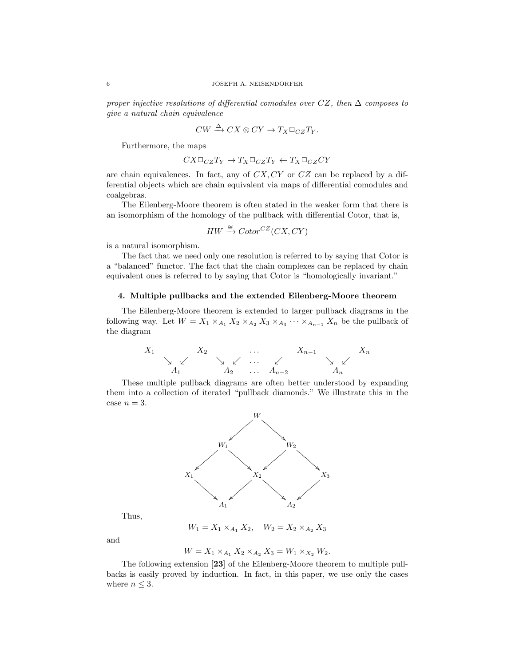proper injective resolutions of differential comodules over  $CZ$ , then  $\Delta$  composes to give a natural chain equivalence

$$
CW \xrightarrow{\Delta} CX \otimes CY \to T_X \square_{CZ} T_Y.
$$

Furthermore, the maps

$$
CX \Box_{CZ} T_Y \to T_X \Box_{CZ} T_Y \leftarrow T_X \Box_{CZ} CY
$$

are chain equivalences. In fact, any of  $CX, CY$  or  $CZ$  can be replaced by a differential objects which are chain equivalent via maps of differential comodules and coalgebras.

The Eilenberg-Moore theorem is often stated in the weaker form that there is an isomorphism of the homology of the pullback with differential Cotor, that is,

$$
HW \xrightarrow{\cong} Cotor^{CZ}(CX, CY)
$$

is a natural isomorphism.

The fact that we need only one resolution is referred to by saying that Cotor is a "balanced" functor. The fact that the chain complexes can be replaced by chain equivalent ones is referred to by saying that Cotor is "homologically invariant."

## 4. Multiple pullbacks and the extended Eilenberg-Moore theorem

The Eilenberg-Moore theorem is extended to larger pullback diagrams in the following way. Let  $W = X_1 \times_{A_1} X_2 \times_{A_2} X_3 \times_{A_3} \cdots \times_{A_{n-1}} X_n$  be the pullback of the diagram



These multiple pullback diagrams are often better understood by expanding them into a collection of iterated "pullback diamonds." We illustrate this in the case  $n = 3$ .



Thus,

$$
W_1 = X_1 \times_{A_1} X_2, \quad W_2 = X_2 \times_{A_2} X_3
$$

and

$$
W = X_1 \times_{A_1} X_2 \times_{A_2} X_3 = W_1 \times_{X_2} W_2.
$$

The following extension [23] of the Eilenberg-Moore theorem to multiple pullbacks is easily proved by induction. In fact, in this paper, we use only the cases where  $n \leq 3$ .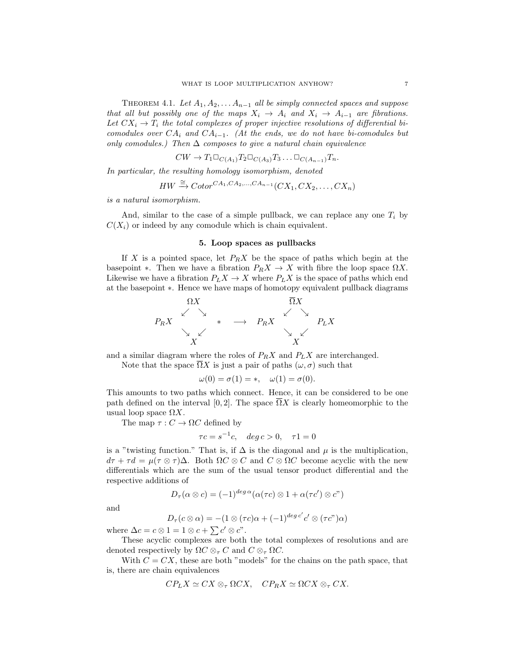THEOREM 4.1. Let  $A_1, A_2, \ldots, A_{n-1}$  all be simply connected spaces and suppose that all but possibly one of the maps  $X_i \rightarrow A_i$  and  $X_i \rightarrow A_{i-1}$  are fibrations. Let  $CX_i \rightarrow T_i$  the total complexes of proper injective resolutions of differential bicomodules over  $CA_i$  and  $CA_{i-1}$ . (At the ends, we do not have bi-comodules but only comodules.) Then  $\Delta$  composes to give a natural chain equivalence

 $CW \to T_1 \square_{C(A_1)} T_2 \square_{C(A_2)} T_3 \ldots \square_{C(A_{n-1})} T_n.$ 

In particular, the resulting homology isomorphism, denoted

$$
HW \xrightarrow{\cong} Cotor^{CA_1,CA_2,...,CA_{n-1}}(CX_1, CX_2,...,CX_n)
$$

is a natural isomorphism.

And, similar to the case of a simple pullback, we can replace any one  $T_i$  by  $C(X_i)$  or indeed by any comodule which is chain equivalent.

#### 5. Loop spaces as pullbacks

If X is a pointed space, let  $P_R X$  be the space of paths which begin at the basepoint ∗. Then we have a fibration  $P_R X \to X$  with fibre the loop space  $\Omega X$ . Likewise we have a fibration  $P_L X \to X$  where  $P_L X$  is the space of paths which end at the basepoint ∗. Hence we have maps of homotopy equivalent pullback diagrams



and a similar diagram where the roles of  $P_R X$  and  $P_L X$  are interchanged.

Note that the space  $\overline{\Omega}X$  is just a pair of paths  $(\omega, \sigma)$  such that

$$
\omega(0) = \sigma(1) = *, \quad \omega(1) = \sigma(0).
$$

This amounts to two paths which connect. Hence, it can be considered to be one path defined on the interval [0, 2]. The space  $\overline{\Omega}X$  is clearly homeomorphic to the usual loop space  $\Omega X$ .

The map  $\tau : C \to \Omega C$  defined by

$$
\tau c = s^{-1}c, \quad \deg c > 0, \quad \tau 1 = 0
$$

is a "twisting function." That is, if  $\Delta$  is the diagonal and  $\mu$  is the multiplication,  $d\tau + \tau d = \mu(\tau \otimes \tau) \Delta$ . Both  $\Omega C \otimes C$  and  $C \otimes \Omega C$  become acyclic with the new differentials which are the sum of the usual tensor product differential and the respective additions of

$$
D_{\tau}(\alpha \otimes c) = (-1)^{deg \alpha} (\alpha(\tau c) \otimes 1 + \alpha(\tau c') \otimes c")
$$

and

$$
D_{\tau}(c \otimes \alpha) = -(1 \otimes (\tau c)\alpha + (-1)^{deg c'} c' \otimes (\tau c'')\alpha)
$$

where  $\Delta c = c \otimes 1 = 1 \otimes c + \sum c' \otimes c''$ .

These acyclic complexes are both the total complexes of resolutions and are denoted respectively by  $\Omega C \otimes_{\tau} C$  and  $C \otimes_{\tau} \Omega C$ .

With  $C = CX$ , these are both "models" for the chains on the path space, that is, there are chain equivalences

$$
CP_L X \simeq CX \otimes_{\tau} \Omega CX, \quad CP_R X \simeq \Omega CX \otimes_{\tau} CX.
$$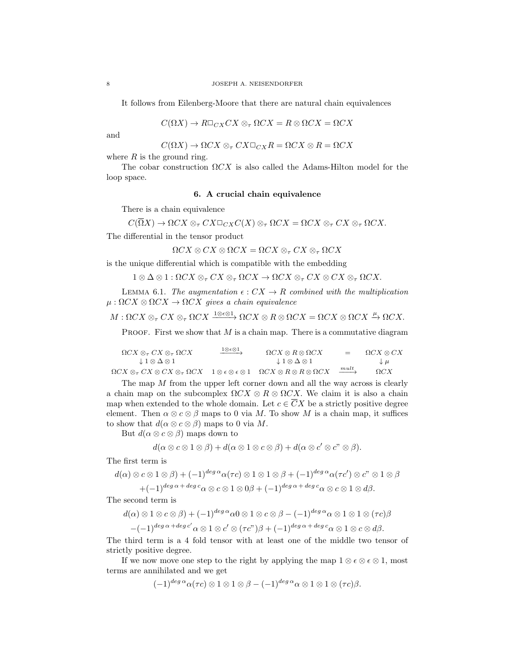It follows from Eilenberg-Moore that there are natural chain equivalences

$$
C(\Omega X) \to R \Box_{CX} CX \otimes_{\tau} \Omega CX = R \otimes \Omega CX = \Omega CX
$$

and

 $C(\Omega X) \to \Omega C X \otimes_{\tau} C X \square_{C X} R = \Omega C X \otimes R = \Omega C X$ 

where  $R$  is the ground ring.

The cobar construction  $\Omega C X$  is also called the Adams-Hilton model for the loop space.

# 6. A crucial chain equivalence

There is a chain equivalence

 $C(\overline{\Omega}X) \to \Omega CX \otimes_{\tau} CX \Box_{CX} C(X) \otimes_{\tau} \Omega CX = \Omega CX \otimes_{\tau} CX \otimes_{\tau} \Omega CX.$ 

The differential in the tensor product

 $\Omega CX \otimes CX \otimes \Omega CX = \Omega CX \otimes_{\tau} CX \otimes_{\tau} \Omega CX$ 

is the unique differential which is compatible with the embedding

$$
1 \otimes \Delta \otimes 1: \Omega CX \otimes_{\tau} CX \otimes_{\tau} \Omega CX \to \Omega CX \otimes_{\tau} CX \otimes CX \otimes_{\tau} \Omega CX.
$$

LEMMA 6.1. The augmentation  $\epsilon: CX \to R$  combined with the multiplication  $\mu : \Omega CX \otimes \Omega CX \rightarrow \Omega CX$  gives a chain equivalence

 $M: \Omega CX \otimes_{\tau} CX \otimes_{\tau} \Omega CX \xrightarrow{1 \otimes \epsilon \otimes 1} \Omega CX \otimes R \otimes \Omega CX = \Omega CX \otimes \Omega CX \xrightarrow{\mu} \Omega CX.$ 

PROOF. First we show that  $M$  is a chain map. There is a commutative diagram

| $\Omega CX \otimes_{\tau} CX \otimes_{\tau} \Omega CX$                                                                                                              | $\xrightarrow{1\otimes\epsilon\otimes 1}$ | $\Omega CX \otimes R \otimes \Omega CX$       | $=$              | $\Omega CX \otimes CX$ |
|---------------------------------------------------------------------------------------------------------------------------------------------------------------------|-------------------------------------------|-----------------------------------------------|------------------|------------------------|
| $\downarrow$ 1 $\otimes$ $\Delta$ $\otimes$ 1                                                                                                                       |                                           | $\downarrow$ 1 $\otimes$ $\Delta$ $\otimes$ 1 |                  | $\downarrow \mu$       |
| $\Omega CX \otimes_{\tau} CX \otimes CX \otimes_{\tau} \Omega CX - 1 \otimes \epsilon \otimes \epsilon \otimes 1 - \Omega CX \otimes R \otimes R \otimes \Omega CX$ |                                           |                                               | $\frac{mult}{ }$ | $\Omega CX$            |

The map M from the upper left corner down and all the way across is clearly a chain map on the subcomplex  $\Omega C X \otimes R \otimes \Omega C X$ . We claim it is also a chain map when extended to the whole domain. Let  $c \in \overline{C}X$  be a strictly positive degree element. Then  $\alpha \otimes c \otimes \beta$  maps to 0 via M. To show M is a chain map, it suffices to show that  $d(\alpha \otimes c \otimes \beta)$  maps to 0 via M.

But  $d(\alpha \otimes c \otimes \beta)$  maps down to

$$
d(\alpha \otimes c \otimes 1 \otimes \beta) + d(\alpha \otimes 1 \otimes c \otimes \beta) + d(\alpha \otimes c' \otimes c'' \otimes \beta).
$$

The first term is

$$
d(\alpha) \otimes c \otimes 1 \otimes \beta) + (-1)^{deg \alpha} \alpha(\tau c) \otimes 1 \otimes 1 \otimes \beta + (-1)^{deg \alpha} \alpha(\tau c') \otimes c" \otimes 1 \otimes \beta + (-1)^{deg \alpha + deg \, c} \alpha \otimes c \otimes 1 \otimes 0 \beta + (-1)^{deg \alpha + deg \, c} \alpha \otimes c \otimes 1 \otimes d\beta.
$$

The second term is

$$
d(\alpha) \otimes 1 \otimes c \otimes \beta) + (-1)^{deg \alpha} \alpha 0 \otimes 1 \otimes c \otimes \beta - (-1)^{deg \alpha} \alpha \otimes 1 \otimes 1 \otimes (\tau c) \beta
$$

 $-(-1)^{deg \alpha + deg \ c'}\alpha \otimes 1 \otimes c' \otimes (\tau c")\beta + (-1)^{deg \alpha + deg \ c}\alpha \otimes 1 \otimes c \otimes d\beta.$ 

The third term is a 4 fold tensor with at least one of the middle two tensor of strictly positive degree.

If we now move one step to the right by applying the map  $1 \otimes \epsilon \otimes \epsilon \otimes 1$ , most terms are annihilated and we get

$$
(-1)^{deg\,\alpha}\alpha(\tau c)\otimes 1\otimes 1\otimes \beta - (-1)^{deg\,\alpha}\alpha\otimes 1\otimes 1\otimes (\tau c)\beta.
$$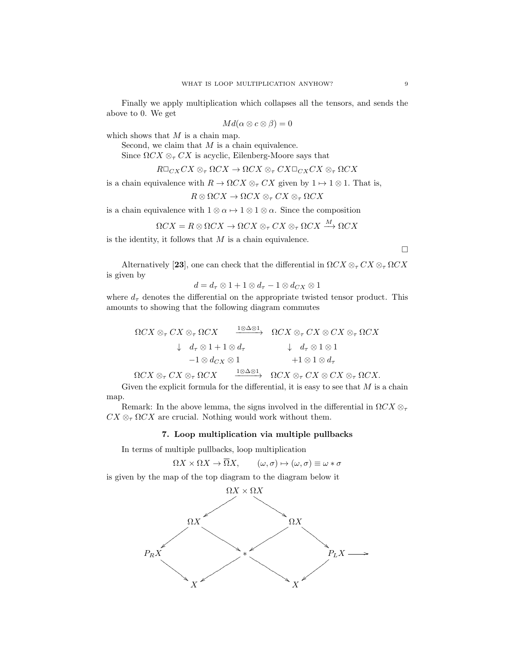Finally we apply multiplication which collapses all the tensors, and sends the above to 0. We get

$$
Md(\alpha\otimes c\otimes \beta)=0
$$

which shows that  $M$  is a chain map.

Second, we claim that  $M$  is a chain equivalence.

Since  $\Omega C X \otimes_{\tau} C X$  is acyclic, Eilenberg-Moore says that

$$
R\square_{CX} CX \otimes_{\tau} \Omega CX \to \Omega CX \otimes_{\tau} CX \square_{CX} CX \otimes_{\tau} \Omega CX
$$

is a chain equivalence with  $R \to \Omega C X \otimes_{\tau} C X$  given by  $1 \mapsto 1 \otimes 1$ . That is,

$$
R \otimes \Omega CX \to \Omega CX \otimes_{\tau} CX \otimes_{\tau} \Omega CX
$$

is a chain equivalence with  $1 \otimes \alpha \mapsto 1 \otimes 1 \otimes \alpha$ . Since the composition

$$
\Omega CX = R \otimes \Omega CX \rightarrow \Omega CX \otimes_{\tau} CX \otimes_{\tau} \Omega CX \xrightarrow{M} \Omega CX
$$

is the identity, it follows that  $M$  is a chain equivalence.

 $\Box$ 

Alternatively [23], one can check that the differential in  $\Omega C X \otimes_{\tau} C X \otimes_{\tau} \Omega C X$ is given by

 $d = d_{\tau} \otimes 1 + 1 \otimes d_{\tau} - 1 \otimes d_{CX} \otimes 1$ 

where  $d_{\tau}$  denotes the differential on the appropriate twisted tensor product. This amounts to showing that the following diagram commutes

$$
\begin{array}{cccc}\n\Omega CX \otimes_{\tau} CX \otimes_{\tau} \Omega CX & \xrightarrow{1 \otimes \Delta \otimes 1} & \Omega CX \otimes_{\tau} CX \otimes CX \otimes_{\tau} \Omega CX \\
 & \downarrow d_{\tau} \otimes 1 + 1 \otimes d_{\tau} & \downarrow d_{\tau} \otimes 1 \otimes 1 \\
 & -1 \otimes d_{CX} \otimes 1 & +1 \otimes 1 \otimes d_{\tau} \\
\Omega CX \otimes_{\tau} CX \otimes_{\tau} \Omega CX & \xrightarrow{1 \otimes \Delta \otimes 1} & \Omega CX \otimes_{\tau} CX \otimes_{\tau} \Omega CX.\n\end{array}
$$

Given the explicit formula for the differential, it is easy to see that  $M$  is a chain map.

Remark: In the above lemma, the signs involved in the differential in  $\Omega C X \otimes_{\tau}$  $CX \otimes_{\tau} \Omega CX$  are crucial. Nothing would work without them.

### 7. Loop multiplication via multiple pullbacks

In terms of multiple pullbacks, loop multiplication

 $\Omega X \times \Omega X \to \overline{\Omega} X$ ,  $(\omega, \sigma) \mapsto (\omega, \sigma) \equiv \omega * \sigma$ 

is given by the map of the top diagram to the diagram below it

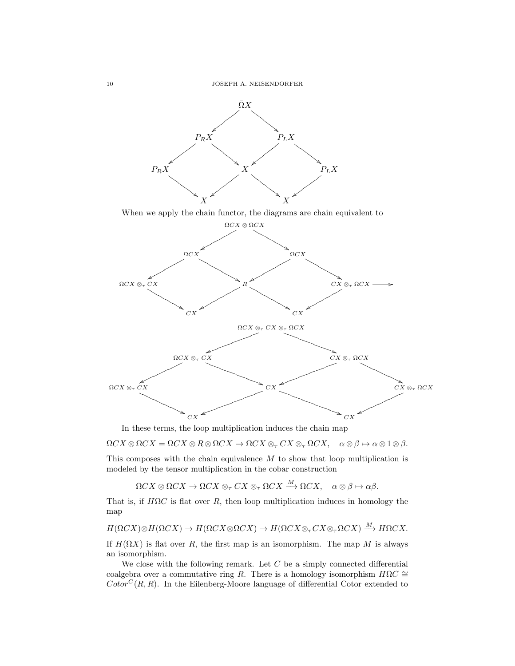

In these terms, the loop multiplication induces the chain map

 $\Omega CX \otimes \Omega CX = \Omega CX \otimes R \otimes \Omega CX \to \Omega CX \otimes_{\tau} CX \otimes_{\tau} \Omega CX, \quad \alpha \otimes \beta \mapsto \alpha \otimes 1 \otimes \beta.$ 

This composes with the chain equivalence M to show that loop multiplication is modeled by the tensor multiplication in the cobar construction

 $\Omega CX \otimes \Omega CX \to \Omega CX \otimes_{\tau} CX \otimes_{\tau} \Omega CX \xrightarrow{M} \Omega CX, \quad \alpha \otimes \beta \mapsto \alpha \beta.$ 

That is, if  $H\Omega C$  is flat over R, then loop multiplication induces in homology the map

 $H(\Omega CX) \otimes H(\Omega CX) \to H(\Omega CX \otimes \Omega CX) \to H(\Omega CX \otimes_{\tau} CX \otimes_{\tau} \Omega CX) \xrightarrow{M} H\Omega CX.$ 

If  $H(\Omega X)$  is flat over R, the first map is an isomorphism. The map M is always an isomorphism.

We close with the following remark. Let  $C$  be a simply connected differential coalgebra over a commutative ring R. There is a homology isomorphism  $H\Omega C \cong$  $Cotor<sup>C</sup>(R, R)$ . In the Eilenberg-Moore language of differential Cotor extended to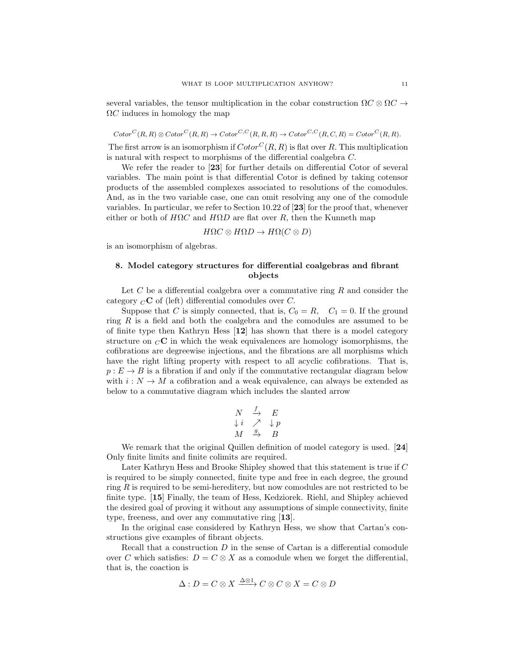several variables, the tensor multiplication in the cobar construction  $\Omega C \otimes \Omega C \rightarrow$  $\Omega C$  induces in homology the map

$$
Cotor^C(R, R) \otimes Cotor^C(R, R) \rightarrow Cotor^{C,C}(R, R, R) \rightarrow Cotor^{C,C}(R, C, R) = Cotor^C(R, R).
$$

The first arrow is an isomorphism if  $Cotor^C(R, R)$  is flat over R. This multiplication is natural with respect to morphisms of the differential coalgebra C.

We refer the reader to [23] for further details on differential Cotor of several variables. The main point is that differential Cotor is defined by taking cotensor products of the assembled complexes associated to resolutions of the comodules. And, as in the two variable case, one can omit resolving any one of the comodule variables. In particular, we refer to Section 10.22 of [23] for the proof that, whenever either or both of  $H\Omega C$  and  $H\Omega D$  are flat over R, then the Kunneth map

$$
H\Omega C \otimes H\Omega D \to H\Omega (C \otimes D)
$$

is an isomorphism of algebras.

## 8. Model category structures for differential coalgebras and fibrant objects

Let C be a differential coalgebra over a commutative ring  $R$  and consider the category  $_C$ **C** of (left) differential comodules over C.

Suppose that C is simply connected, that is,  $C_0 = R$ ,  $C_1 = 0$ . If the ground ring R is a field and both the coalgebra and the comodules are assumed to be of finite type then Kathryn Hess [12] has shown that there is a model category structure on  ${}_{\mathcal{C}}\mathbf{C}$  in which the weak equivalences are homology isomorphisms, the cofibrations are degreewise injections, and the fibrations are all morphisms which have the right lifting property with respect to all acyclic cofibrations. That is,  $p: E \to B$  is a fibration if and only if the commutative rectangular diagram below with  $i: N \to M$  a cofibration and a weak equivalence, can always be extended as below to a commutative diagram which includes the slanted arrow

$$
\begin{array}{ccc}\nN & \xrightarrow{f} & E \\
\downarrow i & \nearrow & \downarrow p \\
M & \xrightarrow{g} & B\n\end{array}
$$

We remark that the original Quillen definition of model category is used. [24] Only finite limits and finite colimits are required.

Later Kathryn Hess and Brooke Shipley showed that this statement is true if C is required to be simply connected, finite type and free in each degree, the ground ring R is required to be semi-hereditery, but now comodules are not restricted to be finite type. [15] Finally, the team of Hess, Kedziorek. Riehl, and Shipley achieved the desired goal of proving it without any assumptions of simple connectivity, finite type, freeness, and over any commutative ring [13].

In the original case considered by Kathryn Hess, we show that Cartan's constructions give examples of fibrant objects.

Recall that a construction D in the sense of Cartan is a differential comodule over C which satisfies:  $D = C \otimes X$  as a comodule when we forget the differential, that is, the coaction is

$$
\Delta: D = C \otimes X \xrightarrow{\Delta \otimes 1} C \otimes C \otimes X = C \otimes D
$$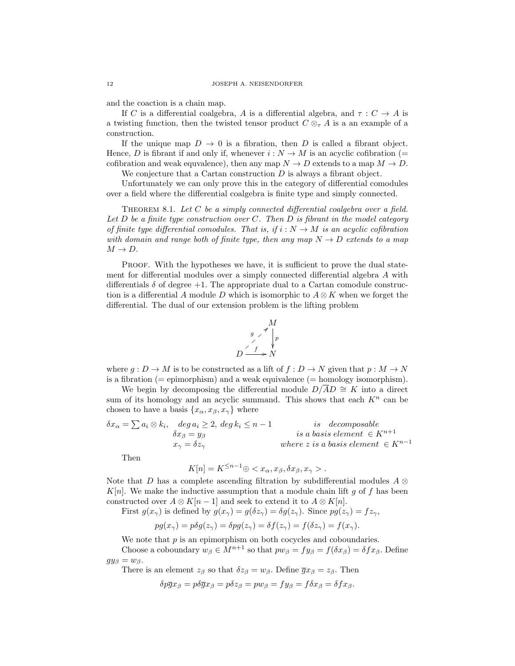and the coaction is a chain map.

If C is a differential coalgebra, A is a differential algebra, and  $\tau : C \to A$  is a twisting function, then the twisted tensor product  $C \otimes_{\tau} A$  is a an example of a construction.

If the unique map  $D \to 0$  is a fibration, then D is called a fibrant object. Hence, D is fibrant if and only if, whenever  $i: N \to M$  is an acyclic cofibration (= cofibration and weak equvalence), then any map  $N \to D$  extends to a map  $M \to D$ .

We conjecture that a Cartan construction  $D$  is always a fibrant object.

Unfortunately we can only prove this in the category of differential comodules over a field where the differential coalgebra is finite type and simply connected.

THEOREM 8.1. Let  $C$  be a simply connected differential coalgebra over a field. Let D be a finite type construction over C. Then D is fibrant in the model category of finite type differential comodules. That is, if  $i : N \to M$  is an acyclic cofibration with domain and range both of finite type, then any map  $N \to D$  extends to a map  $M \to D$ .

PROOF. With the hypotheses we have, it is sufficient to prove the dual statement for differential modules over a simply connected differential algebra A with differentials  $\delta$  of degree +1. The appropriate dual to a Cartan comodule construction is a differential A module D which is isomorphic to  $A \otimes K$  when we forget the differential. The dual of our extension problem is the lifting problem



where  $g: D \to M$  is to be constructed as a lift of  $f: D \to N$  given that  $p: M \to N$ is a fibration  $(=$  epimorphism) and a weak equivalence  $(=$  homology isomorphism).

We begin by decomposing the differential module  $D/\overline{AD} \cong K$  into a direct sum of its homology and an acyclic summand. This shows that each  $K<sup>n</sup>$  can be chosen to have a basis  $\{x_{\alpha}, x_{\beta}, x_{\gamma}\}\$  where

$$
\delta x_{\alpha} = \sum a_i \otimes k_i, \quad \deg a_i \ge 2, \deg k_i \le n - 1 \qquad \qquad is \quad decompositionalgebraic
$$
\n
$$
\delta x_{\beta} = y_{\beta} \qquad \qquad is \quad a \text{ basis element } \in K^{n+1}
$$
\n
$$
x_{\gamma} = \delta z_{\gamma} \qquad \qquad where \quad z \text{ is a basis element } \in K^{n-1}
$$

Then

$$
K[n] = K^{\leq n-1} \oplus \langle x_{\alpha}, x_{\beta}, \delta x_{\beta}, x_{\gamma} \rangle.
$$

Note that D has a complete ascending filtration by subdifferential modules  $A \otimes$  $K[n]$ . We make the inductive assumption that a module chain lift q of f has been constructed over  $A \otimes K[n-1]$  and seek to extend it to  $A \otimes K[n]$ .

First  $g(x_\gamma)$  is defined by  $g(x_\gamma) = g(\delta z_\gamma) = \delta g(z_\gamma)$ . Since  $pg(z_\gamma) = fz_\gamma$ ,

$$
pg(x_{\gamma}) = p\delta g(z_{\gamma}) = \delta pg(z_{\gamma}) = \delta f(z_{\gamma}) = f(\delta z_{\gamma}) = f(x_{\gamma}).
$$

We note that  $p$  is an epimorphism on both cocycles and coboundaries. Choose a coboundary  $w_{\beta} \in M^{n+1}$  so that  $pw_{\beta} = fy_{\beta} = f(\delta x_{\beta}) = \delta fx_{\beta}$ . Define  $gy_\beta = w_\beta.$ 

There is an element  $z_\beta$  so that  $\delta z_\beta = w_\beta$ . Define  $\overline{g}x_\beta = z_\beta$ . Then

$$
\delta p \overline{g} x_{\beta} = p \delta \overline{g} x_{\beta} = p \delta z_{\beta} = p w_{\beta} = f y_{\beta} = f \delta x_{\beta} = \delta f x_{\beta}.
$$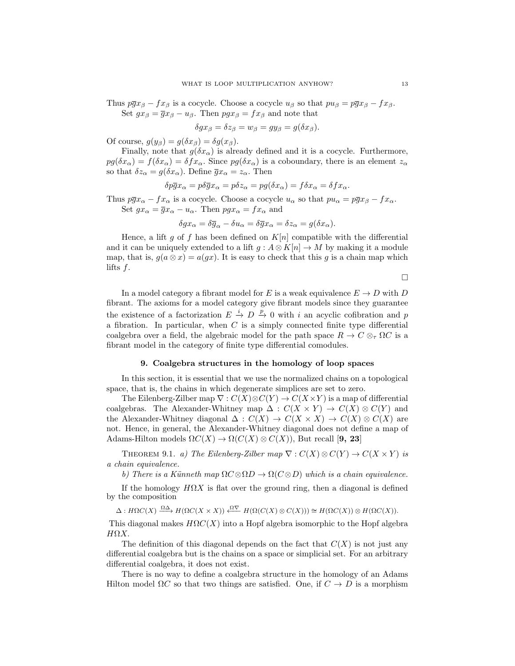Thus  $p\bar{g}x_{\beta} - fx_{\beta}$  is a cocycle. Choose a cocycle  $u_{\beta}$  so that  $pu_{\beta} = p\bar{g}x_{\beta} - fx_{\beta}$ . Set  $gx_{\beta} = \overline{g}x_{\beta} - u_{\beta}$ . Then  $pgx_{\beta} = fx_{\beta}$  and note that

$$
\delta gx_{\beta} = \delta z_{\beta} = w_{\beta} = gy_{\beta} = g(\delta x_{\beta}).
$$

Of course,  $g(y_\beta) = g(\delta x_\beta) = \delta g(x_\beta)$ .

Finally, note that  $g(\delta x_{\alpha})$  is already defined and it is a cocycle. Furthermore,  $pg(\delta x_\alpha) = f(\delta x_\alpha) = \delta f x_\alpha$ . Since  $pg(\delta x_\alpha)$  is a coboundary, there is an element  $z_\alpha$ so that  $\delta z_{\alpha} = g(\delta x_{\alpha})$ . Define  $\overline{g}x_{\alpha} = z_{\alpha}$ . Then

$$
\delta p\overline{g}x_{\alpha} = p\delta \overline{g}x_{\alpha} = p\delta z_{\alpha} = pg(\delta x_{\alpha}) = f\delta x_{\alpha} = \delta fx_{\alpha}.
$$

Thus  $p\overline{g}x_{\alpha} - fx_{\alpha}$  is a cocycle. Choose a cocycle  $u_{\alpha}$  so that  $pu_{\alpha} = p\overline{g}x_{\beta} - fx_{\alpha}$ . Set  $gx_{\alpha} = \overline{g}x_{\alpha} - u_{\alpha}$ . Then  $pgx_{\alpha} = fx_{\alpha}$  and

$$
\delta gx_{\alpha} = \delta \overline{g}_{\alpha} - \delta u_{\alpha} = \delta \overline{g} x_{\alpha} = \delta z_{\alpha} = g(\delta x_{\alpha}).
$$

Hence, a lift g of f has been defined on  $K[n]$  compatible with the differential and it can be uniquely extended to a lift  $g : A \otimes K[n] \to M$  by making it a module map, that is,  $g(a \otimes x) = a(gx)$ . It is easy to check that this g is a chain map which lifts f.

$$
\Box
$$

In a model category a fibrant model for E is a weak equivalence  $E \to D$  with D fibrant. The axioms for a model category give fibrant models since they guarantee the existence of a factorization  $E \stackrel{i}{\to} D \stackrel{p}{\to} 0$  with i an acyclic cofibration and p a fibration. In particular, when  $C$  is a simply connected finite type differential coalgebra over a field, the algebraic model for the path space  $R \to C \otimes_{\tau} \Omega C$  is a fibrant model in the category of finite type differential comodules.

#### 9. Coalgebra structures in the homology of loop spaces

In this section, it is essential that we use the normalized chains on a topological space, that is, the chains in which degenerate simplices are set to zero.

The Eilenberg-Zilber map  $\nabla$  :  $C(X) \otimes C(Y) \rightarrow C(X \times Y)$  is a map of differential coalgebras. The Alexander-Whitney map  $\Delta : C(X \times Y) \to C(X) \otimes C(Y)$  and the Alexander-Whitney diagonal  $\Delta: C(X) \to C(X \times X) \to C(X) \otimes C(X)$  are not. Hence, in general, the Alexander-Whitney diagonal does not define a map of Adams-Hilton models  $\Omega C(X) \to \Omega(C(X) \otimes C(X))$ , But recall [9, 23]

THEOREM 9.1. a) The Eilenberg-Zilber map  $\nabla : C(X) \otimes C(Y) \to C(X \times Y)$  is a chain equivalence.

b) There is a Künneth map  $\Omega C \otimes \Omega D \to \Omega (C \otimes D)$  which is a chain equivalence.

If the homology  $H\Omega X$  is flat over the ground ring, then a diagonal is defined by the composition

 $\Delta: H\Omega C(X) \xrightarrow{\Omega \Delta} H(\Omega C(X \times X)) \xleftarrow{\Omega \nabla} H(\Omega (C(X) \otimes C(X))) \cong H(\Omega C(X)) \otimes H(\Omega C(X)).$ 

This diagonal makes  $H\Omega C(X)$  into a Hopf algebra isomorphic to the Hopf algebra  $H\Omega X$ .

The definition of this diagonal depends on the fact that  $C(X)$  is not just any differential coalgebra but is the chains on a space or simplicial set. For an arbitrary differential coalgebra, it does not exist.

There is no way to define a coalgebra structure in the homology of an Adams Hilton model  $\Omega C$  so that two things are satisfied. One, if  $C \to D$  is a morphism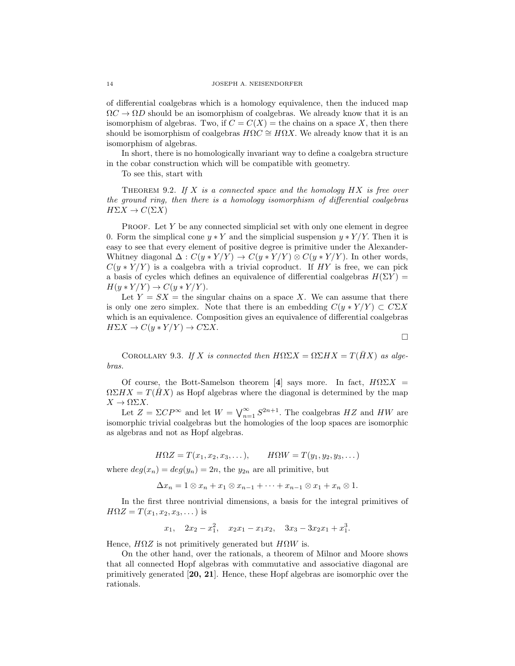of differential coalgebras which is a homology equivalence, then the induced map  $\Omega C \rightarrow \Omega D$  should be an isomorphism of coalgebras. We already know that it is an isomorphism of algebras. Two, if  $C = C(X)$  = the chains on a space X, then there should be isomorphism of coalgebras  $H\Omega C \cong H\Omega X$ . We already know that it is an isomorphism of algebras.

In short, there is no homologically invariant way to define a coalgebra structure in the cobar construction which will be compatible with geometry.

To see this, start with

THEOREM 9.2. If X is a connected space and the homology  $H X$  is free over the ground ring, then there is a homology isomorphism of differential coalgebras  $H\Sigma X \to C(\Sigma X)$ 

PROOF. Let  $Y$  be any connected simplicial set with only one element in degree 0. Form the simplical cone  $y * Y$  and the simplicial suspension  $y * Y/Y$ . Then it is easy to see that every element of positive degree is primitive under the Alexander-Whitney diagonal  $\Delta : C(y * Y/Y) \to C(y * Y/Y) \otimes C(y * Y/Y)$ . In other words,  $C(y * Y/Y)$  is a coalgebra with a trivial coproduct. If HY is free, we can pick a basis of cycles which defines an equivalence of differential coalgebras  $H(\Sigma Y)$  =  $H(y * Y/Y) \to C(y * Y/Y).$ 

Let  $Y = SX$  = the singular chains on a space X. We can assume that there is only one zero simplex. Note that there is an embedding  $C(y * Y/Y) \subset C\Sigma X$ which is an equivalence. Composition gives an equivalence of differential coalgebras  $H\Sigma X \to C(y * Y/Y) \to C\Sigma X.$ 

 $\Box$ 

COROLLARY 9.3. If X is connected then  $H\Omega\Sigma X = \Omega\Sigma H X = T(\bar{H}X)$  as algebras.

Of course, the Bott-Samelson theorem [4] says more. In fact,  $H\Omega \Sigma X =$  $\Omega\Sigma HX = T(HX)$  as Hopf algebras where the diagonal is determined by the map  $X \to \Omega \Sigma X$ .

Let  $Z = \Sigma CP^{\infty}$  and let  $W = \bigvee_{n=1}^{\infty} S^{2n+1}$ . The coalgebras  $HZ$  and  $HW$  are isomorphic trivial coalgebras but the homologies of the loop spaces are isomorphic as algebras and not as Hopf algebras.

$$
H\Omega Z = T(x_1, x_2, x_3, \dots), \qquad H\Omega W = T(y_1, y_2, y_3, \dots)
$$

where  $deg(x_n) = deg(y_n) = 2n$ , the  $y_{2n}$  are all primitive, but

$$
\Delta x_n = 1 \otimes x_n + x_1 \otimes x_{n-1} + \cdots + x_{n-1} \otimes x_1 + x_n \otimes 1.
$$

In the first three nontrivial dimensions, a basis for the integral primitives of  $H\Omega Z = T(x_1, x_2, x_3, \dots)$  is

$$
x_1
$$
,  $2x_2 - x_1^2$ ,  $x_2x_1 - x_1x_2$ ,  $3x_3 - 3x_2x_1 + x_1^3$ .

Hence,  $H\Omega Z$  is not primitively generated but  $H\Omega W$  is.

On the other hand, over the rationals, a theorem of Milnor and Moore shows that all connected Hopf algebras with commutative and associative diagonal are primitively generated [20, 21]. Hence, these Hopf algebras are isomorphic over the rationals.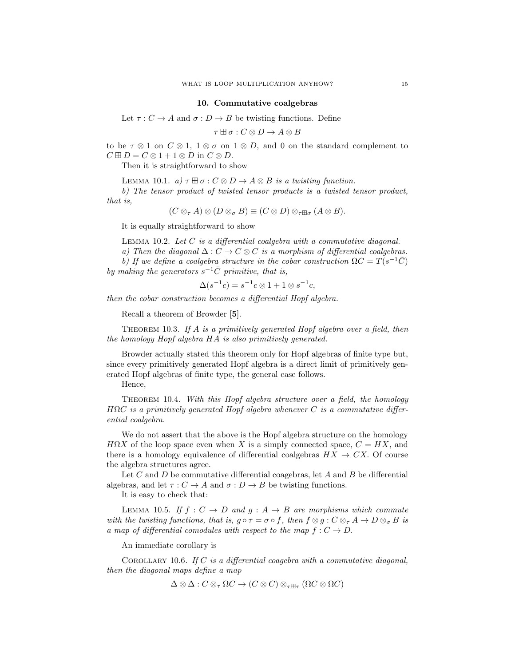#### 10. Commutative coalgebras

Let  $\tau : C \to A$  and  $\sigma : D \to B$  be twisting functions. Define

$$
\tau \boxplus \sigma : C \otimes D \to A \otimes B
$$

to be  $\tau \otimes 1$  on  $C \otimes 1$ ,  $1 \otimes \sigma$  on  $1 \otimes D$ , and 0 on the standard complement to  $C \boxplus D = C \otimes 1 + 1 \otimes D$  in  $C \otimes D$ .

Then it is straightforward to show

LEMMA 10.1. a)  $\tau \boxplus \sigma : C \otimes D \to A \otimes B$  is a twisting function.

b) The tensor product of twisted tensor products is a twisted tensor product, that is,

$$
(C\otimes_{\tau} A)\otimes (D\otimes_{\sigma} B)\equiv (C\otimes D)\otimes_{\tau\boxplus_{\sigma}} (A\otimes B).
$$

It is equally straightforward to show

LEMMA 10.2. Let  $C$  is a differential coalgebra with a commutative diagonal.

a) Then the diagonal  $\Delta: C \to C \otimes C$  is a morphism of differential coalgebras.

b) If we define a coalgebra structure in the cobar construction  $\Omega C = T(s^{-1}\overline{C})$ by making the generators  $s^{-1}\bar{C}$  primitive, that is,

$$
\Delta(s^{-1}c) = s^{-1}c \otimes 1 + 1 \otimes s^{-1}c,
$$

then the cobar construction becomes a differential Hopf algebra.

Recall a theorem of Browder [5].

THEOREM 10.3. If  $A$  is a primitively generated Hopf algebra over a field, then the homology Hopf algebra HA is also primitively generated.

Browder actually stated this theorem only for Hopf algebras of finite type but, since every primitively generated Hopf algebra is a direct limit of primitively generated Hopf algebras of finite type, the general case follows.

Hence,

THEOREM 10.4. With this Hopf algebra structure over a field, the homology  $H\Omega C$  is a primitively generated Hopf algebra whenever C is a commutative differential coalgebra.

We do not assert that the above is the Hopf algebra structure on the homology  $H\Omega X$  of the loop space even when X is a simply connected space,  $C = H X$ , and there is a homology equivalence of differential coalgebras  $HX \rightarrow CX$ . Of course the algebra structures agree.

Let C and D be commutative differential coagebras, let A and B be differential algebras, and let  $\tau : C \to A$  and  $\sigma : D \to B$  be twisting functions.

It is easy to check that:

LEMMA 10.5. If  $f: C \to D$  and  $q: A \to B$  are morphisms which commute with the twisting functions, that is,  $g \circ \tau = \sigma \circ f$ , then  $f \otimes g : C \otimes_{\tau} A \to D \otimes_{\sigma} B$  is a map of differential comodules with respect to the map  $f: C \to D$ .

An immediate corollary is

COROLLARY 10.6. If  $C$  is a differential coagebra with a commutative diagonal, then the diagonal maps define a map

 $\Delta \otimes \Delta : C \otimes_{\tau} \Omega C \to (C \otimes C) \otimes_{\tau \boxplus_{\tau}} (\Omega C \otimes \Omega C)$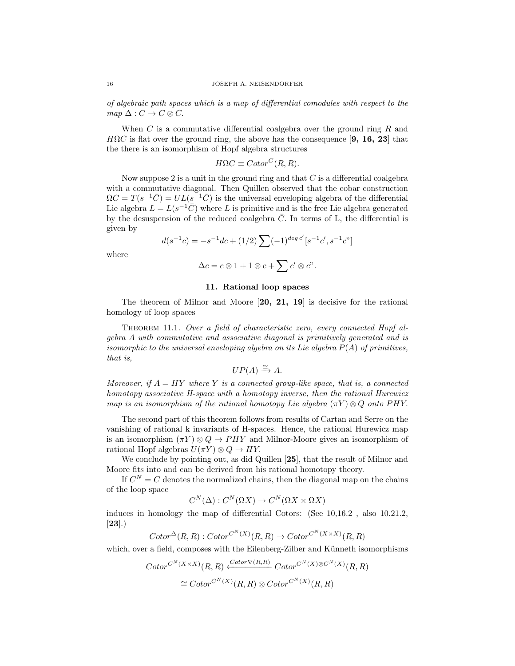of algebraic path spaces which is a map of differential comodules with respect to the  $map \Delta: C \to C \otimes C$ .

When  $C$  is a commutative differential coalgebra over the ground ring  $R$  and  $H\Omega C$  is flat over the ground ring, the above has the consequence [9, 16, 23] that the there is an isomorphism of Hopf algebra structures

$$
H\Omega C \equiv Cotor^C(R, R).
$$

Now suppose 2 is a unit in the ground ring and that  $C$  is a differential coalgebra with a commutative diagonal. Then Quillen observed that the cobar construction  $\Omega C = T(s^{-1}\overline{C}) = UL(s^{-1}\overline{C})$  is the universal enveloping algebra of the differential Lie algebra  $L = L(s^{-1}\overline{C})$  where L is primitive and is the free Lie algebra generated by the desuspension of the reduced coalgebra  $\overline{C}$ . In terms of L, the differential is given by

$$
d(s^{-1}c) = -s^{-1}dc + (1/2)\sum (-1)^{deg\ c'}[s^{-1}c', s^{-1}c'']
$$

where

$$
\Delta c = c \otimes 1 + 1 \otimes c + \sum c' \otimes c".
$$

## 11. Rational loop spaces

The theorem of Milnor and Moore  $[20, 21, 19]$  is decisive for the rational homology of loop spaces

THEOREM 11.1. Over a field of characteristic zero, every connected Hopf algebra A with commutative and associative diagonal is primitively generated and is isomorphic to the universal enveloping algebra on its Lie algebra  $P(A)$  of primitives, that is,

$$
UP(A) \xrightarrow{\cong} A.
$$

Moreover, if  $A = HY$  where Y is a connected group-like space, that is, a connected homotopy associative H-space with a homotopy inverse, then the rational Hurewicz map is an isomorphism of the rational homotopy Lie algebra  $(\pi Y) \otimes Q$  onto PHY.

The second part of this theorem follows from results of Cartan and Serre on the vanishing of rational k invariants of H-spaces. Hence, the rational Hurewicz map is an isomorphism  $(\pi Y) \otimes Q \to PHY$  and Milnor-Moore gives an isomorphism of rational Hopf algebras  $U(\pi Y) \otimes Q \rightarrow HY$ .

We conclude by pointing out, as did Quillen [25], that the result of Milnor and Moore fits into and can be derived from his rational homotopy theory.

If  $C^{N} = C$  denotes the normalized chains, then the diagonal map on the chains of the loop space

$$
C^N(\Delta): C^N(\Omega X) \to C^N(\Omega X \times \Omega X)
$$

induces in homology the map of differential Cotors: (See 10,16.2 , also 10.21.2,  $[23]$ .)

$$
Cotor^{\Delta}(R, R): Cotor^{C^{N}(X)}(R, R) \to Cotor^{C^{N}(X \times X)}(R, R)
$$

which, over a field, composes with the Eilenberg-Zilber and Künneth isomorphisms

$$
Cotor^{C^N(X \times X)}(R, R) \xleftarrow{Cotor \nabla(R, R)} Cotor^{C^N(X) \otimes C^N(X)}(R, R)
$$
  
\n
$$
\cong Cotor^{C^N(X)}(R, R) \otimes Cotor^{C^N(X)}(R, R)
$$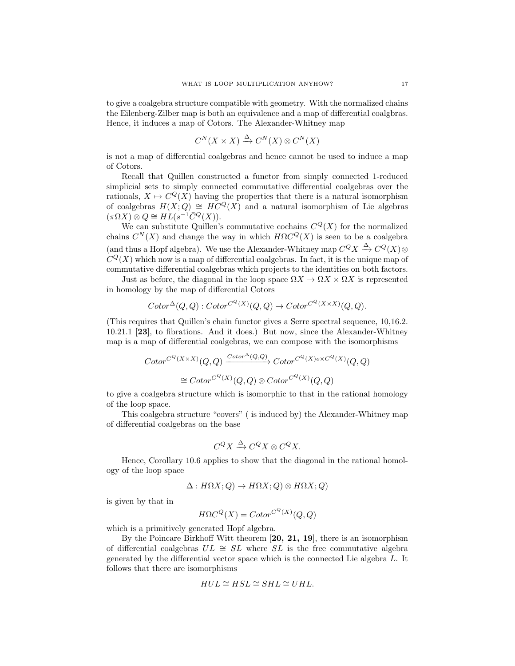to give a coalgebra structure compatible with geometry. With the normalized chains the Eilenberg-Zilber map is both an equivalence and a map of differential coalgbras. Hence, it induces a map of Cotors. The Alexander-Whitney map

$$
C^N(X \times X) \xrightarrow{\Delta} C^N(X) \otimes C^N(X)
$$

is not a map of differential coalgebras and hence cannot be used to induce a map of Cotors.

Recall that Quillen constructed a functor from simply connected 1-reduced simplicial sets to simply connected commutative differential coalgebras over the rationals,  $X \mapsto C^Q(X)$  having the properties that there is a natural isomorphism of coalgebras  $H(X; Q) \cong HC^{Q}(X)$  and a natural isomorphism of Lie algebras  $(\pi \Omega X) \otimes Q \cong H L(s^{-1} \overline{C}{}^Q(X)).$ 

We can substitute Quillen's commutative cochains  $C^{Q}(X)$  for the normalized chains  $C^N(X)$  and change the way in which  $H\Omega C^Q(X)$  is seen to be a coalgebra (and thus a Hopf algebra). We use the Alexander-Whitney map  $C^Q X \stackrel{\Delta}{\rightarrow} C^Q(X) \otimes$  $C^Q(X)$  which now is a map of differential coalgebras. In fact, it is the unique map of commutative differential coalgebras which projects to the identities on both factors.

Just as before, the diagonal in the loop space  $\Omega X \to \Omega X \times \Omega X$  is represented in homology by the map of differential Cotors

$$
Cotor^{\Delta}(Q, Q) : Cotor^{C^Q(X)}(Q, Q) \to Cotor^{C^Q(X \times X)}(Q, Q).
$$

(This requires that Quillen's chain functor gives a Serre spectral sequence, 10,16.2. 10.21.1 [23], to fibrations. And it does.) But now, since the Alexander-Whitney map is a map of differential coalgebras, we can compose with the isomorphisms

$$
Cotor^{C^{Q}(X \times X)}(Q,Q) \xrightarrow{Cotor^{Q}(Q,Q)} Cotor^{C^{Q}(X) \circ \times C^{Q}(X)}(Q,Q)
$$
  
\n
$$
\cong Cotor^{C^{Q}(X)}(Q,Q) \otimes Cotor^{C^{Q}(X)}(Q,Q)
$$

to give a coalgebra structure which is isomorphic to that in the rational homology of the loop space.

This coalgebra structure "covers" ( is induced by) the Alexander-Whitney map of differential coalgebras on the base

$$
C^{Q}X \xrightarrow{\Delta} C^{Q}X \otimes C^{Q}X.
$$

Hence, Corollary 10.6 applies to show that the diagonal in the rational homology of the loop space

$$
\Delta: H\Omega X; Q) \to H\Omega X; Q) \otimes H\Omega X; Q)
$$

is given by that in

$$
H\Omega C^{Q}(X) = Cotor^{C^{Q}(X)}(Q, Q)
$$

which is a primitively generated Hopf algebra.

By the Poincare Birkhoff Witt theorem [20, 21, 19], there is an isomorphism of differential coalgebras  $UL \cong SL$  where SL is the free commutative algebra generated by the differential vector space which is the connected Lie algebra L. It follows that there are isomorphisms

$$
HUL \cong HSL \cong SHL \cong UHL.
$$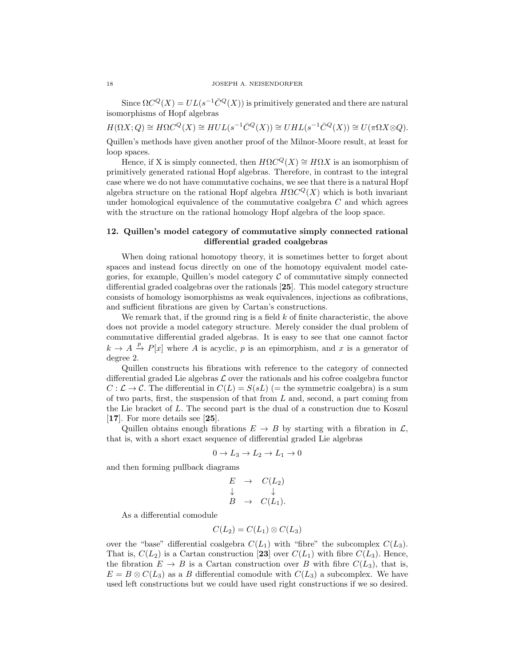Since  $\Omega C^Q(X) = UL(s^{-1}\overline{C}^Q(X))$  is primitively generated and there are natural isomorphisms of Hopf algebras

 $H(\Omega X; Q) \cong H\Omega C^Q(X) \cong HUL(s^{-1}\overline{C}^Q(X)) \cong UHL(s^{-1}\overline{C}^Q(X)) \cong U(\pi \Omega X \otimes Q).$ Quillen's methods have given another proof of the Milnor-Moore result, at least for loop spaces.

Hence, if X is simply connected, then  $H\Omega C^{Q}(X) \cong H\Omega X$  is an isomorphism of primitively generated rational Hopf algebras. Therefore, in contrast to the integral case where we do not have commutative cochains, we see that there is a natural Hopf algebra structure on the rational Hopf algebra  $H\Omega C^{Q}(X)$  which is both invariant under homological equivalence of the commutative coalgebra  $C$  and which agrees with the structure on the rational homology Hopf algebra of the loop space.

## 12. Quillen's model category of commutative simply connected rational differential graded coalgebras

When doing rational homotopy theory, it is sometimes better to forget about spaces and instead focus directly on one of the homotopy equivalent model categories, for example, Quillen's model category  $C$  of commutative simply connected differential graded coalgebras over the rationals [25]. This model category structure consists of homology isomorphisms as weak equivalences, injections as cofibrations, and sufficient fibrations are given by Cartan's constructions.

We remark that, if the ground ring is a field  $k$  of finite characteristic, the above does not provide a model category structure. Merely consider the dual problem of commutative differential graded algebras. It is easy to see that one cannot factor  $k \to A \stackrel{p}{\to} P[x]$  where A is acyclic, p is an epimorphism, and x is a generator of degree 2.

Quillen constructs his fibrations with reference to the category of connected differential graded Lie algebras  $\mathcal L$  over the rationals and his cofree coalgebra functor  $C: \mathcal{L} \to \mathcal{C}$ . The differential in  $C(L) = S(sL)$  (= the symmetric coalgebra) is a sum of two parts, first, the suspension of that from  $L$  and, second, a part coming from the Lie bracket of L. The second part is the dual of a construction due to Koszul [17]. For more details see [25].

Quillen obtains enough fibrations  $E \to B$  by starting with a fibration in  $\mathcal{L}$ , that is, with a short exact sequence of differential graded Lie algebras

$$
0 \to L_3 \to L_2 \to L_1 \to 0
$$

and then forming pullback diagrams

$$
\begin{array}{ccc}\nE & \to & C(L_2) \\
\downarrow & & \downarrow \\
B & \to & C(L_1).\n\end{array}
$$

As a differential comodule

$$
C(L_2) = C(L_1) \otimes C(L_3)
$$

over the "base" differential coalgebra  $C(L_1)$  with "fibre" the subcomplex  $C(L_3)$ . That is,  $C(L_2)$  is a Cartan construction [23] over  $C(L_1)$  with fibre  $C(L_3)$ . Hence, the fibration  $E \to B$  is a Cartan construction over B with fibre  $C(L_3)$ , that is,  $E = B \otimes C(L_3)$  as a B differential comodule with  $C(L_3)$  a subcomplex. We have used left constructions but we could have used right constructions if we so desired.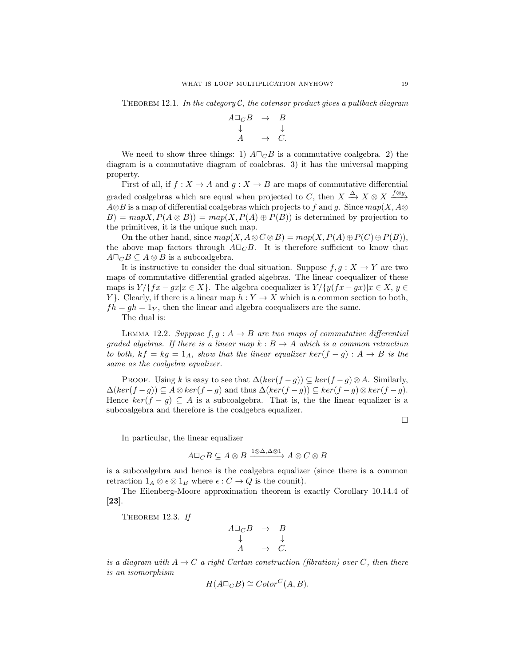THEOREM 12.1. In the category  $\mathcal{C}$ , the cotensor product gives a pullback diagram

$$
\begin{array}{ccc}\nA \square_C B & \to & B \\
\downarrow & & \downarrow \\
A & \to & C.\n\end{array}
$$

We need to show three things: 1)  $A\Box_C B$  is a commutative coalgebra. 2) the diagram is a commutative diagram of coalebras. 3) it has the universal mapping property.

First of all, if  $f : X \to A$  and  $g : X \to B$  are maps of commutative differential graded coalgebras which are equal when projected to C, then  $X \xrightarrow{\Delta} X \otimes X \xrightarrow{f \otimes g} X$  $A \otimes B$  is a map of differential coalgebras which projects to f and g. Since  $map(X, A \otimes B)$  $B$ ) = mapX,  $P(A \otimes B)$ ) = map $(X, P(A) \oplus P(B))$  is determined by projection to the primitives, it is the unique such map.

On the other hand, since  $map(X, A \otimes C \otimes B) = map(X, P(A) \oplus P(C) \oplus P(B)).$ the above map factors through  $A\Box_C B$ . It is therefore sufficient to know that  $A \Box_C B \subseteq A \otimes B$  is a subcoalgebra.

It is instructive to consider the dual situation. Suppose  $f, g: X \to Y$  are two maps of commutative differential graded algebras. The linear coequalizer of these maps is  $Y/\{fx - gx|x \in X\}$ . The algebra coequalizer is  $Y/\{y(fx - gx)|x \in X, y \in X\}$ Y }. Clearly, if there is a linear map  $h: Y \to X$  which is a common section to both,  $fh = gh = 1<sub>Y</sub>$ , then the linear and algebra coequalizers are the same.

The dual is:

LEMMA 12.2. Suppose  $f, g : A \rightarrow B$  are two maps of commutative differential graded algebras. If there is a linear map  $k : B \to A$  which is a common retraction to both,  $kf = kg = 1_A$ , show that the linear equalizer  $ker(f - g) : A \rightarrow B$  is the same as the coalgebra equalizer.

PROOF. Using k is easy to see that  $\Delta(ker(f-g)) \subseteq ker(f-g) \otimes A$ . Similarly,  $\Delta(ker(f-g)) \subseteq A \otimes ker(f-g)$  and thus  $\Delta(ker(f-g)) \subseteq ker(f-g) \otimes ker(f-g)$ . Hence  $ker(f - g) \subseteq A$  is a subcoalgebra. That is, the the linear equalizer is a subcoalgebra and therefore is the coalgebra equalizer.

 $\Box$ 

In particular, the linear equalizer

$$
A \Box_C B \subseteq A \otimes B \xrightarrow{1 \otimes \Delta, \Delta \otimes 1} A \otimes C \otimes B
$$

is a subcoalgebra and hence is the coalgebra equalizer (since there is a common retraction  $1_A \otimes \epsilon \otimes 1_B$  where  $\epsilon : C \to Q$  is the counit).

The Eilenberg-Moore approximation theorem is exactly Corollary 10.14.4 of [23].

THEOREM 12.3. If

$$
\begin{array}{ccc} A\square_C B & \to & B \\ \downarrow & & \downarrow \\ A & \to & C. \end{array}
$$

is a diagram with  $A \rightarrow C$  a right Cartan construction (fibration) over C, then there is an isomorphism

$$
H(A \Box_C B) \cong Cotor^C(A, B).
$$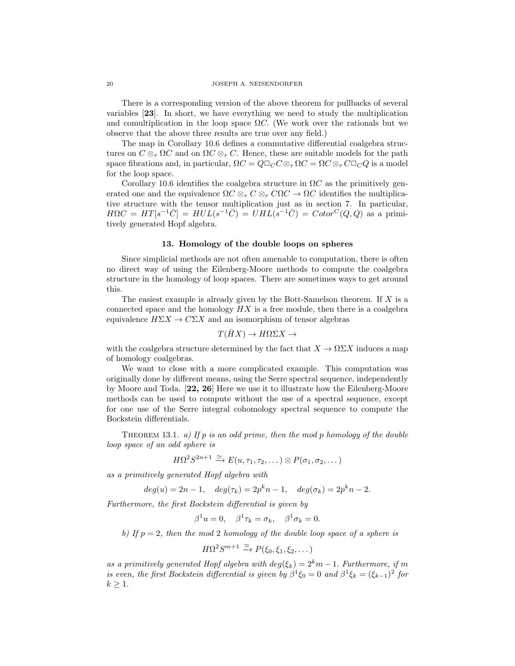20 JOSEPH A. NEISENDORFER

There is a corresponding version of the above theorem for pullbacks of several variables [23]. In short, we have everything we need to study the multiplication and comultiplication in the loop space  $\Omega C$ . (We work over the rationals but we observe that the above three results are true over any field.)

The map in Corollary 10.6 defines a commutative differential coalgebra structures on  $C \otimes_{\tau} \Omega C$  and on  $\Omega C \otimes_{\tau} C$ . Hence, these are suitable models for the path space fibrations and, in particular,  $\Omega C = Q \Box_C C \otimes_{\tau} \Omega C = \Omega C \otimes_{\tau} C \Box_C Q$  is a model for the loop space.

Corollary 10.6 identifies the coalgebra structure in  $\Omega C$  as the primitively generated one and the equivalence  $\Omega C \otimes_{\tau} C \otimes_{\tau} C \Omega C \to \Omega C$  identifies the multiplicative structure with the tensor multiplication just as in section 7. In particular,  $H\Omega C = HT[s^{-1}\overline{C}] = HUL(s^{-1}\overline{C}) = UHL(s^{-1}\overline{C}) = Cotor^C(Q,Q)$  as a primitively generated Hopf algebra.

### 13. Homology of the double loops on spheres

Since simplicial methods are not often amenable to computation, there is often no direct way of using the Eilenberg-Moore methods to compute the coalgebra structure in the homology of loop spaces. There are sometimes ways to get around this.

The easiest example is already given by the Bott-Samelson theorem. If  $X$  is a connected space and the homology  $H X$  is a free module, then there is a coalgebra equivalence  $H\Sigma X \to C\Sigma X$  and an isomorphism of tensor algebras

$$
T(\bar{H}X) \to H\Omega \Sigma X \to
$$

with the coalgebra structure determined by the fact that  $X \to \Omega \Sigma X$  induces a map of homology coalgebras.

We want to close with a more complicated example. This computation was originally done by different means, using the Serre spectral sequence, independently by Moore and Toda. [22, 26] Here we use it to illustrate how the Eilenberg-Moore methods can be used to compute without the use of a spectral sequence, except for one use of the Serre integral cohomology spectral sequence to compute the Bockstein differentials.

THEOREM 13.1. a) If p is an odd prime, then the mod p homology of the double loop space of an odd sphere is

$$
H\Omega^2 S^{2n+1} \xrightarrow{\simeq} E(u,\tau_1,\tau_2,\dots) \otimes P(\sigma_1,\sigma_2,\dots)
$$

as a primitively generated Hopf algebra with

$$
deg(u) = 2n - 1
$$
,  $deg(\tau_k) = 2p^k n - 1$ ,  $deg(\sigma_k) = 2p^k n - 2$ .

Furthermore, the first Bockstein differential is given by

 $\beta^1 u = 0$ ,  $\beta^1 \tau_k = \sigma_k$ ,  $\beta^1 \sigma_k = 0$ .

b) If  $p = 2$ , then the mod 2 homology of the double loop space of a sphere is

$$
H\Omega^2 S^{m+1} \xrightarrow{\simeq} P(\xi_0, \xi_1, \xi_2, \dots)
$$

as a primitively generated Hopf algebra with  $deg(\xi_k) = 2^k m - 1$ . Furthermore, if m is even, the first Bockstein differential is given by  $\beta^1 \xi_0 = 0$  and  $\beta^1 \xi_k = (\xi_{k-1})^2$  for  $k \geq 1$ .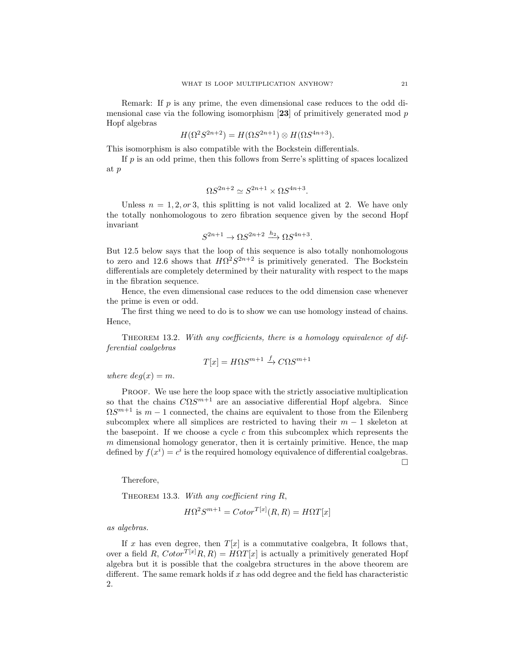Remark: If  $p$  is any prime, the even dimensional case reduces to the odd dimensional case via the following isomorphism  $[23]$  of primitively generated mod p Hopf algebras

$$
H(\Omega^2 S^{2n+2}) = H(\Omega S^{2n+1}) \otimes H(\Omega S^{4n+3}).
$$

This isomorphism is also compatible with the Bockstein differentials.

If  $p$  is an odd prime, then this follows from Serre's splitting of spaces localized at p

$$
\Omega S^{2n+2} \simeq S^{2n+1} \times \Omega S^{4n+3}.
$$

Unless  $n = 1, 2, or 3$ , this splitting is not valid localized at 2. We have only the totally nonhomologous to zero fibration sequence given by the second Hopf invariant

$$
S^{2n+1} \to \Omega S^{2n+2} \xrightarrow{h_2} \Omega S^{4n+3}.
$$

But 12.5 below says that the loop of this sequence is also totally nonhomologous to zero and 12.6 shows that  $H\Omega^2 S^{2n+2}$  is primitively generated. The Bockstein differentials are completely determined by their naturality with respect to the maps in the fibration sequence.

Hence, the even dimensional case reduces to the odd dimension case whenever the prime is even or odd.

The first thing we need to do is to show we can use homology instead of chains. Hence,

THEOREM 13.2. With any coefficients, there is a homology equivalence of differential coalgebras

$$
T[x] = H\Omega S^{m+1} \xrightarrow{f} C\Omega S^{m+1}
$$

where  $deg(x) = m$ .

PROOF. We use here the loop space with the strictly associative multiplication so that the chains  $C\Omega S^{m+1}$  are an associative differential Hopf algebra. Since  $\Omega S^{m+1}$  is  $m-1$  connected, the chains are equivalent to those from the Eilenberg subcomplex where all simplices are restricted to having their  $m-1$  skeleton at the basepoint. If we choose a cycle  $c$  from this subcomplex which represents the  $m$  dimensional homology generator, then it is certainly primitive. Hence, the map defined by  $f(x^i) = c^i$  is the required homology equivalence of differential coalgebras.  $\Box$ 

Therefore,

THEOREM 13.3. With any coefficient ring  $R$ ,

$$
H\Omega^2 S^{m+1} = Cotor^{T[x]}(R, R) = H\Omega T[x]
$$

as algebras.

If x has even degree, then  $T[x]$  is a commutative coalgebra, It follows that, over a field R,  $Cotor^{T[x]}R, R$  =  $H\Omega T[x]$  is actually a primitively generated Hopf algebra but it is possible that the coalgebra structures in the above theorem are different. The same remark holds if  $x$  has odd degree and the field has characteristic 2.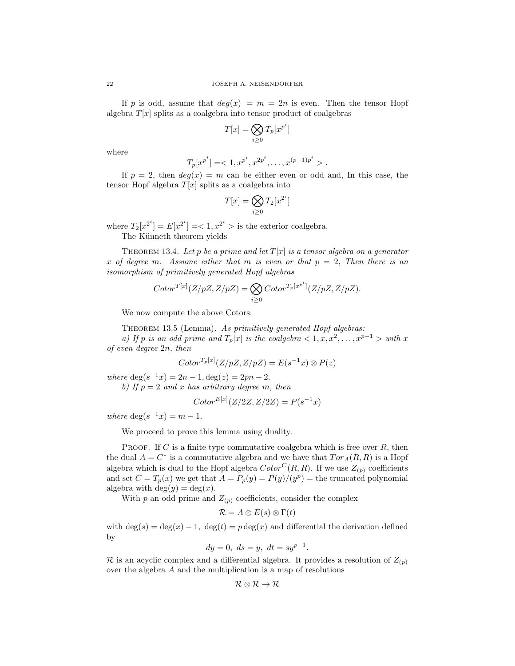If p is odd, assume that  $deg(x) = m = 2n$  is even. Then the tensor Hopf algebra  $T[x]$  splits as a coalgebra into tensor product of coalgebras

$$
T[x] = \bigotimes_{i \ge 0} T_p[x^{p^i}]
$$

where

$$
T_p[x^{p^i}] = <1, x^{p^i}, x^{2p^i}, \dots, x^{(p-1)p^i}>.
$$

If  $p = 2$ , then  $deg(x) = m$  can be either even or odd and, In this case, the tensor Hopf algebra  $T[x]$  splits as a coalgebra into

$$
T[x] = \bigotimes_{i \ge 0} T_2[x^{2^i}]
$$

where  $T_2[x^{2^i}] = E[x^{2^i}] = 1, x^{2^i} > 1$  is the exterior coalgebra.

The Künneth theorem yields

THEOREM 13.4. Let p be a prime and let  $T[x]$  is a tensor algebra on a generator x of degree m. Assume either that m is even or that  $p = 2$ . Then there is an isomorphism of primitively generated Hopf algebras

$$
Cotor^{T[x]}(Z/pZ, Z/pZ) = \bigotimes_{i \geq 0} Cotor^{T_p[x^{p^i}]}(Z/pZ, Z/pZ).
$$

We now compute the above Cotors:

THEOREM 13.5 (Lemma). As primitively generated Hopf algebras:

a) If p is an odd prime and  $T_p[x]$  is the coalgebra  $\lt 1, x, x^2, \ldots, x^{p-1} >$  with x of even degree 2n, then

$$
Cotor^{T_p[x]}(Z/pZ, Z/pZ) = E(s^{-1}x) \otimes P(z)
$$

where  $deg(s^{-1}x) = 2n - 1, deg(z) = 2pn - 2.$ 

b) If  $p = 2$  and x has arbitrary degree m, then

$$
Cotor^{E[x]}(Z/2Z, Z/2Z) = P(s^{-1}x)
$$

where  $\deg(s^{-1}x) = m - 1$ .

We proceed to prove this lemma using duality.

PROOF. If C is a finite type commutative coalgebra which is free over  $R$ , then the dual  $A = C^*$  is a commutative algebra and we have that  $Tor_A(R, R)$  is a Hopf algebra which is dual to the Hopf algebra  $Cotor^C(R, R)$ . If we use  $Z_{(p)}$  coefficients and set  $C = T_p(x)$  we get that  $A = P_p(y) = P(y)/(y^p) =$  the truncated polynomial algebra with  $deg(y) = deg(x)$ .

With p an odd prime and  $Z_{(p)}$  coefficients, consider the complex

$$
\mathcal{R} = A \otimes E(s) \otimes \Gamma(t)
$$

with  $\deg(s) = \deg(x) - 1$ ,  $\deg(t) = p \deg(x)$  and differential the derivation defined by

$$
dy = 0, ds = y, dt = sy^{p-1}.
$$

 $\mathcal R$  is an acyclic complex and a differential algebra. It provides a resolution of  $Z_{(p)}$ over the algebra A and the multiplication is a map of resolutions

$$
\mathcal{R}\otimes\mathcal{R}\to\mathcal{R}
$$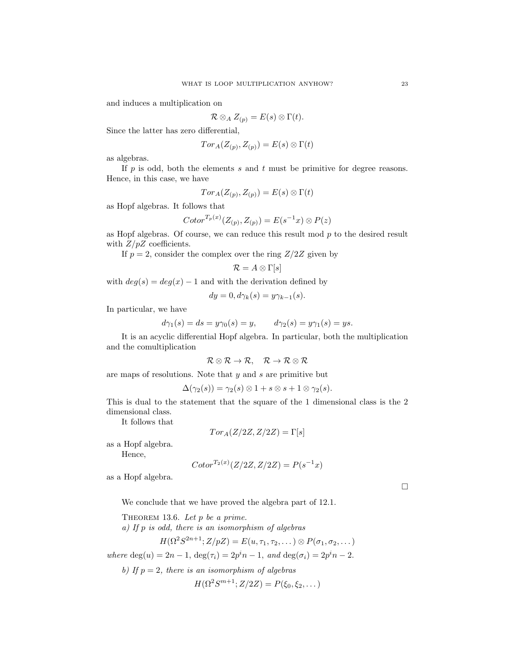and induces a multiplication on

$$
\mathcal{R} \otimes_A Z_{(p)} = E(s) \otimes \Gamma(t).
$$

Since the latter has zero differential,

$$
Tor_{A}(Z_{(p)}, Z_{(p)})=E(s)\otimes \Gamma(t)
$$

as algebras.

If p is odd, both the elements s and t must be primitive for degree reasons. Hence, in this case, we have

$$
Tor_A(Z_{(p)}, Z_{(p)}) = E(s) \otimes \Gamma(t)
$$

as Hopf algebras. It follows that

$$
Cotor^{T_p(x)}(Z_{(p)}, Z_{(p)}) = E(s^{-1}x) \otimes P(z)
$$

as Hopf algebras. Of course, we can reduce this result mod  $p$  to the desired result with  $Z/pZ$  coefficients.

If  $p = 2$ , consider the complex over the ring  $Z/2Z$  given by

$$
\mathcal{R}=A\otimes \Gamma[s]
$$

with  $deg(s) = deg(x) - 1$  and with the derivation defined by

$$
dy = 0, d\gamma_k(s) = y\gamma_{k-1}(s).
$$

In particular, we have

$$
d\gamma_1(s) = ds = y\gamma_0(s) = y, \qquad d\gamma_2(s) = y\gamma_1(s) = ys.
$$

It is an acyclic differential Hopf algebra. In particular, both the multiplication and the comultiplication

$$
\mathcal{R}\otimes\mathcal{R}\to\mathcal{R},\quad\mathcal{R}\to\mathcal{R}\otimes\mathcal{R}
$$

are maps of resolutions. Note that  $y$  and  $s$  are primitive but

$$
\Delta(\gamma_2(s))=\gamma_2(s)\otimes 1+s\otimes s+1\otimes \gamma_2(s).
$$

This is dual to the statement that the square of the 1 dimensional class is the 2 dimensional class.

It follows that

$$
Tor_A(Z/2Z, Z/2Z) = \Gamma[s]
$$

as a Hopf algebra.

Hence,

$$
Cotor^{T_2(x)}(Z/2Z, Z/2Z) = P(s^{-1}x)
$$

as a Hopf algebra.

 $\Box$ 

We conclude that we have proved the algebra part of 12.1.

THEOREM 13.6. Let  $p$  be a prime. a) If p is odd, there is an isomorphism of algebras  $H(\Omega^2 S^{2n+1}; Z/pZ) = E(u, \tau_1, \tau_2, \dots) \otimes P(\sigma_1, \sigma_2, \dots)$ where  $deg(u) = 2n - 1$ ,  $deg(\tau_i) = 2p^i n - 1$ , and  $deg(\sigma_i) = 2p^i n - 2$ . b) If  $p = 2$ , there is an isomorphism of algebras

 $H(\Omega^2 S^{m+1}; Z/2Z) = P(\xi_0, \xi_2, \dots)$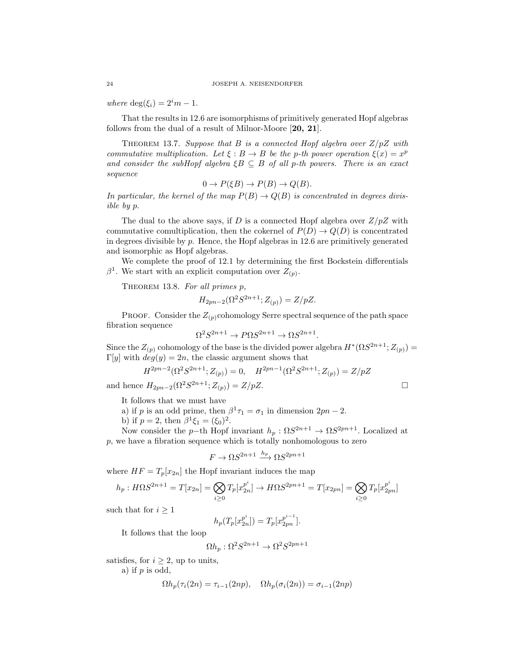where  $\deg(\xi_i) = 2^i m - 1$ .

That the results in 12.6 are isomorphisms of primitively generated Hopf algebras follows from the dual of a result of Milnor-Moore [20, 21].

THEOREM 13.7. Suppose that B is a connected Hopf algebra over  $Z/pZ$  with commutative multiplication. Let  $\xi : B \to B$  be the p-th power operation  $\xi(x) = x^p$ and consider the subHopf algebra  $\xi B \subseteq B$  of all p-th powers. There is an exact sequence

$$
0 \to P(\xi B) \to P(B) \to Q(B).
$$

In particular, the kernel of the map  $P(B) \to Q(B)$  is concentrated in degrees divisible by p.

The dual to the above says, if D is a connected Hopf algebra over  $Z/pZ$  with commutative comultiplication, then the cokernel of  $P(D) \to Q(D)$  is concentrated in degrees divisible by  $p$ . Hence, the Hopf algebras in 12.6 are primitively generated and isomorphic as Hopf algebras.

We complete the proof of 12.1 by determining the first Bockstein differentials  $\beta^1$ . We start with an explicit computation over  $Z_{(p)}$ .

THEOREM 13.8. For all primes p,

$$
H_{2pn-2}(\Omega^2 S^{2n+1}; Z_{(p)}) = Z/pZ.
$$

PROOF. Consider the  $Z_{(p)}$ cohomology Serre spectral sequence of the path space fibration sequence

$$
\Omega^2 S^{2n+1} \to P \Omega S^{2n+1} \to \Omega S^{2n+1}.
$$

Since the  $Z_{(p)}$  cohomology of the base is the divided power algebra  $H^*(\Omega S^{2n+1}; Z_{(p)}) =$ Γ[y] with  $deg(y) = 2n$ , the classic argument shows that

$$
H^{2pn-2}(\Omega^2 S^{2n+1}; Z_{(p)}) = 0, \quad H^{2pn-1}(\Omega^2 S^{2n+1}; Z_{(p)}) = Z/pZ
$$
  
and hence  $H_{2pn-2}(\Omega^2 S^{2n+1}; Z_{(p)}) = Z/pZ.$ 

It follows that we must have

a) if p is an odd prime, then  $\beta^1 \tau_1 = \sigma_1$  in dimension  $2pn - 2$ .

b) if  $p = 2$ , then  $\beta^1 \xi_1 = (\xi_0)^2$ .

Now consider the p-th Hopf invariant  $h_p: \Omega S^{2n+1} \to \Omega S^{2pn+1}$ . Localized at  $p$ , we have a fibration sequence which is totally nonhomologous to zero

$$
F \to \Omega S^{2n+1} \xrightarrow{h_p} \Omega S^{2pn+1}
$$

where  $HF = T_p[x_{2n}]$  the Hopf invariant induces the map

$$
h_p: H\Omega S^{2n+1} = T[x_{2n}] = \bigotimes_{i\geq 0} T_p[x_{2n}^{p^i}] \to H\Omega S^{2pn+1} = T[x_{2pn}] = \bigotimes_{i\geq 0} T_p[x_{2pn}^{p^i}]
$$

such that for  $i \geq 1$ 

$$
h_p(T_p[x_{2n}^{p^i}]) = T_p[x_{2pn}^{p^{i-1}}].
$$

It follows that the loop

$$
\Omega h_p : \Omega^2 S^{2n+1} \to \Omega^2 S^{2pn+1}
$$

satisfies, for  $i \geq 2$ , up to units,

a) if  $p$  is odd,

$$
\Omega h_p(\tau_i(2n) = \tau_{i-1}(2np), \quad \Omega h_p(\sigma_i(2n)) = \sigma_{i-1}(2np)
$$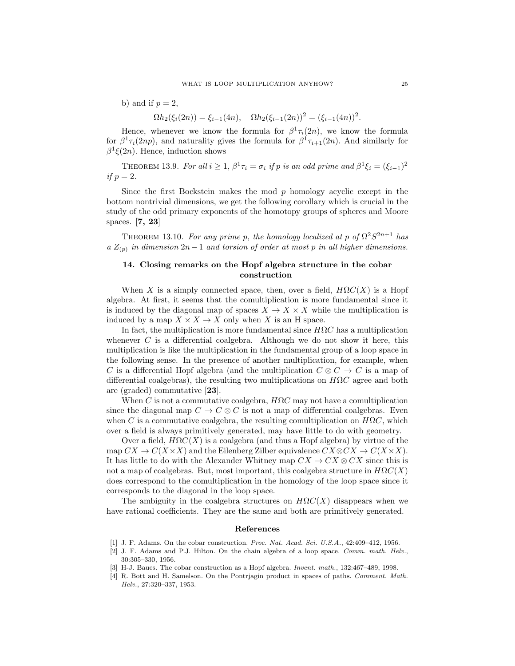b) and if  $p = 2$ ,

$$
\Omega h_2(\xi_i(2n)) = \xi_{i-1}(4n), \quad \Omega h_2(\xi_{i-1}(2n))^2 = (\xi_{i-1}(4n))^2.
$$

Hence, whenever we know the formula for  $\beta^1 \tau_i(2n)$ , we know the formula for  $\beta^1 \tau_i(2np)$ , and naturality gives the formula for  $\beta^1 \tau_{i+1}(2n)$ . And similarly for  $\beta^1 \xi(2n)$ . Hence, induction shows

THEOREM 13.9. For all  $i \geq 1$ ,  $\beta^1 \tau_i = \sigma_i$  if p is an odd prime and  $\beta^1 \xi_i = (\xi_{i-1})^2$ if  $p=2$ .

Since the first Bockstein makes the mod  $p$  homology acyclic except in the bottom nontrivial dimensions, we get the following corollary which is crucial in the study of the odd primary exponents of the homotopy groups of spheres and Moore spaces. [7, 23]

THEOREM 13.10. For any prime p, the homology localized at p of  $\Omega^2 S^{2n+1}$  has a  $Z_{(p)}$  in dimension 2n - 1 and torsion of order at most p in all higher dimensions.

# 14. Closing remarks on the Hopf algebra structure in the cobar construction

When X is a simply connected space, then, over a field,  $H\Omega C(X)$  is a Hopf algebra. At first, it seems that the comultiplication is more fundamental since it is induced by the diagonal map of spaces  $X \to X \times X$  while the multiplication is induced by a map  $X \times X \to X$  only when X is an H space.

In fact, the multiplication is more fundamental since  $H\Omega C$  has a multiplication whenever  $C$  is a differential coalgebra. Although we do not show it here, this multiplication is like the multiplication in the fundamental group of a loop space in the following sense. In the presence of another multiplication, for example, when C is a differential Hopf algebra (and the multiplication  $C \otimes C \rightarrow C$  is a map of differential coalgebras), the resulting two multiplications on  $H\Omega C$  agree and both are (graded) commutative [23].

When C is not a commutative coalgebra,  $H\Omega C$  may not have a comultiplication since the diagonal map  $C \to C \otimes C$  is not a map of differential coalgebras. Even when C is a commutative coalgebra, the resulting comultiplication on  $H\Omega C$ , which over a field is always primitively generated, may have little to do with geometry.

Over a field,  $H\Omega C(X)$  is a coalgebra (and thus a Hopf algebra) by virtue of the map  $CX \to C(X \times X)$  and the Eilenberg Zilber equivalence  $CX \otimes CX \to C(X \times X)$ . It has little to do with the Alexander Whitney map  $CX \rightarrow CX \otimes CX$  since this is not a map of coalgebras. But, most important, this coalgebra structure in  $H\Omega C(X)$ does correspond to the comultiplication in the homology of the loop space since it corresponds to the diagonal in the loop space.

The ambiguity in the coalgebra structures on  $H\Omega C(X)$  disappears when we have rational coefficients. They are the same and both are primitively generated.

#### References

- [1] J. F. Adams. On the cobar construction. Proc. Nat. Acad. Sci. U.S.A., 42:409-412, 1956.
- [2] J. F. Adams and P.J. Hilton. On the chain algebra of a loop space. Comm. math. Helv., 30:305–330, 1956.
- [3] H-J. Baues. The cobar construction as a Hopf algebra. Invent. math., 132:467–489, 1998.
- [4] R. Bott and H. Samelson. On the Pontrjagin product in spaces of paths. Comment. Math. Helv., 27:320–337, 1953.